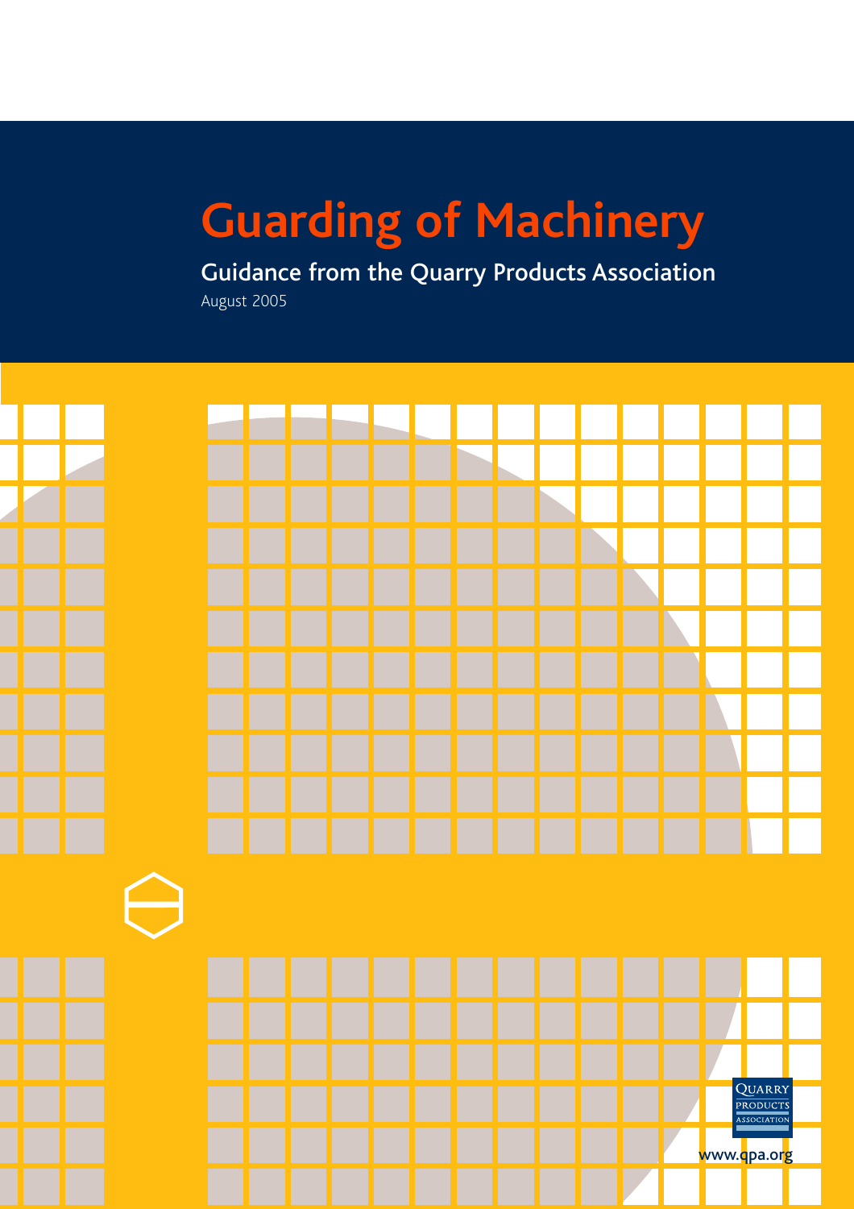### **Guarding of Machinery**

Guidance from the Quarry Products Association August 2005

QUARRY PRODUCTS ASSOCIATIO www.qpa.org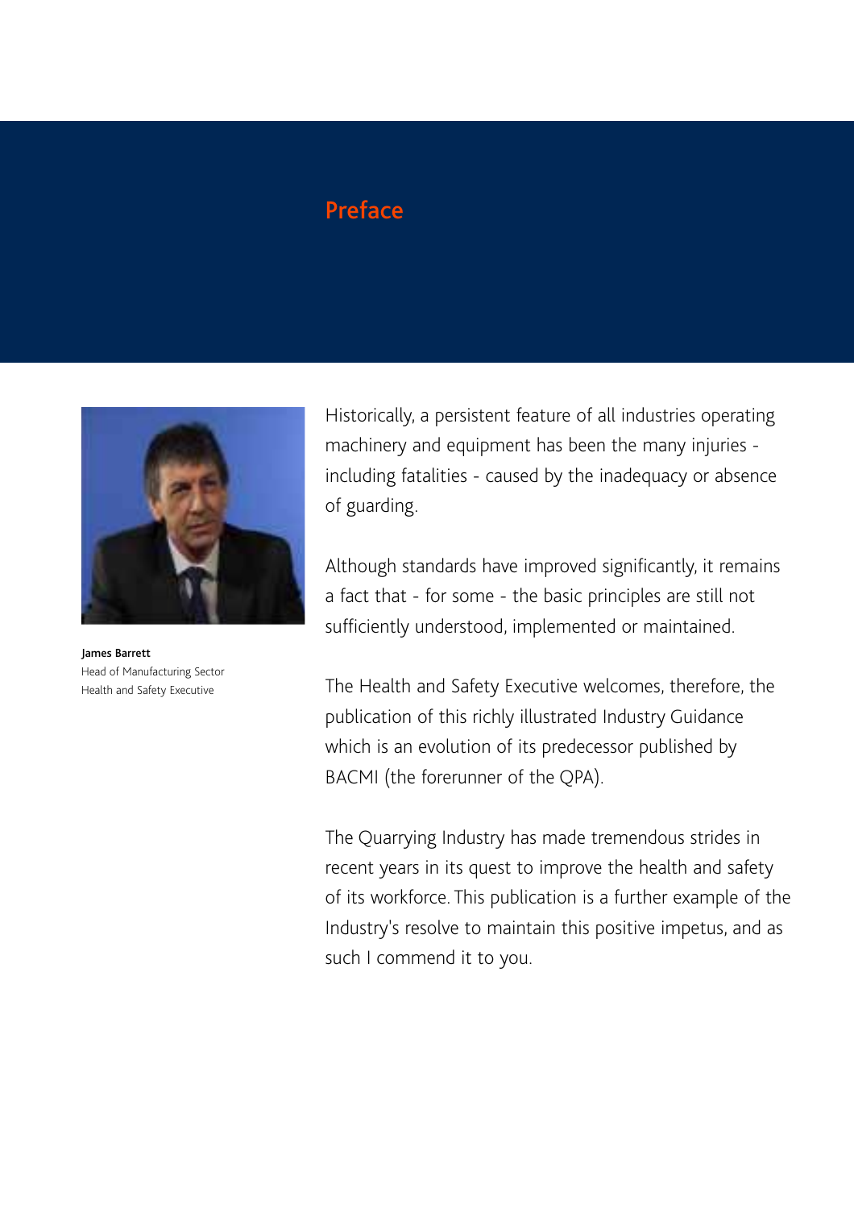### **Preface**



James Barrett Head of Manufacturing Sector Health and Safety Executive

Historically, a persistent feature of all industries operating machinery and equipment has been the many injuries including fatalities - caused by the inadequacy or absence of guarding.

Although standards have improved significantly, it remains a fact that - for some - the basic principles are still not sufficiently understood, implemented or maintained.

The Health and Safety Executive welcomes, therefore, the publication of this richly illustrated Industry Guidance which is an evolution of its predecessor published by BACMI (the forerunner of the QPA).

The Quarrying Industry has made tremendous strides in recent years in its quest to improve the health and safety of its workforce. This publication is a further example of the Industry's resolve to maintain this positive impetus, and as such I commend it to you.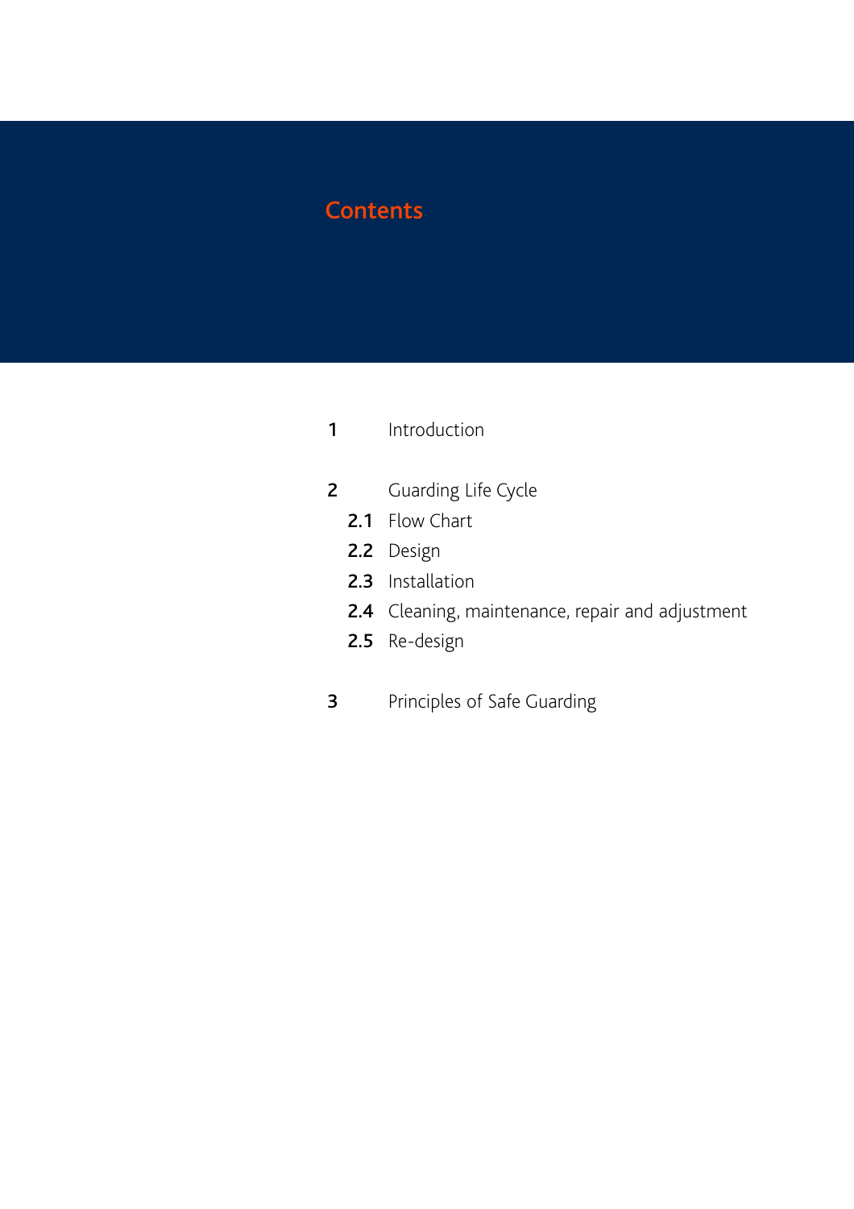### **Contents**

- 1 Introduction
- 2 Guarding Life Cycle
	- 2.1 Flow Chart
	- 2.2 Design
	- 2.3 Installation
	- 2.4 Cleaning, maintenance, repair and adjustment
	- 2.5 Re-design
- **3** Principles of Safe Guarding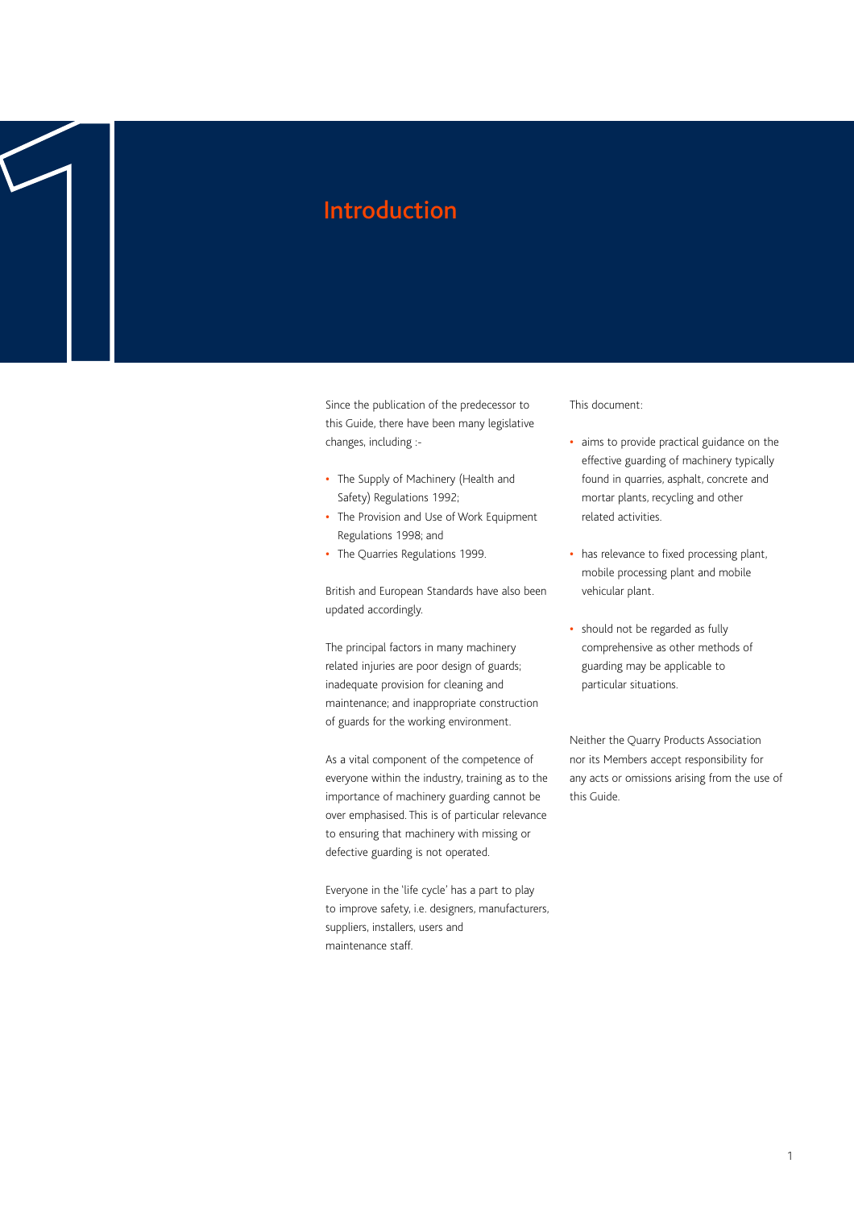Since the publication of the predecessor to this Guide, there have been many legislative changes, including :- Introduction **1**

- **•** The Supply of Machinery (Health and Safety) Regulations 1992;
- **•** The Provision and Use of Work Equipment Regulations 1998; and
- **•** The Quarries Regulations 1999.

British and European Standards have also been updated accordingly.

The principal factors in many machinery related injuries are poor design of guards; inadequate provision for cleaning and maintenance; and inappropriate construction of guards for the working environment.

As a vital component of the competence of everyone within the industry, training as to the importance of machinery guarding cannot be over emphasised. This is of particular relevance to ensuring that machinery with missing or defective guarding is not operated.

Everyone in the 'life cycle' has a part to play to improve safety, i.e. designers, manufacturers, suppliers, installers, users and maintenance staff.

This document:

- **•** aims to provide practical guidance on the effective guarding of machinery typically found in quarries, asphalt, concrete and mortar plants, recycling and other related activities.
- **•** has relevance to fixed processing plant, mobile processing plant and mobile vehicular plant.
- **•** should not be regarded as fully comprehensive as other methods of guarding may be applicable to particular situations.

Neither the Quarry Products Association nor its Members accept responsibility for any acts or omissions arising from the use of this Guide.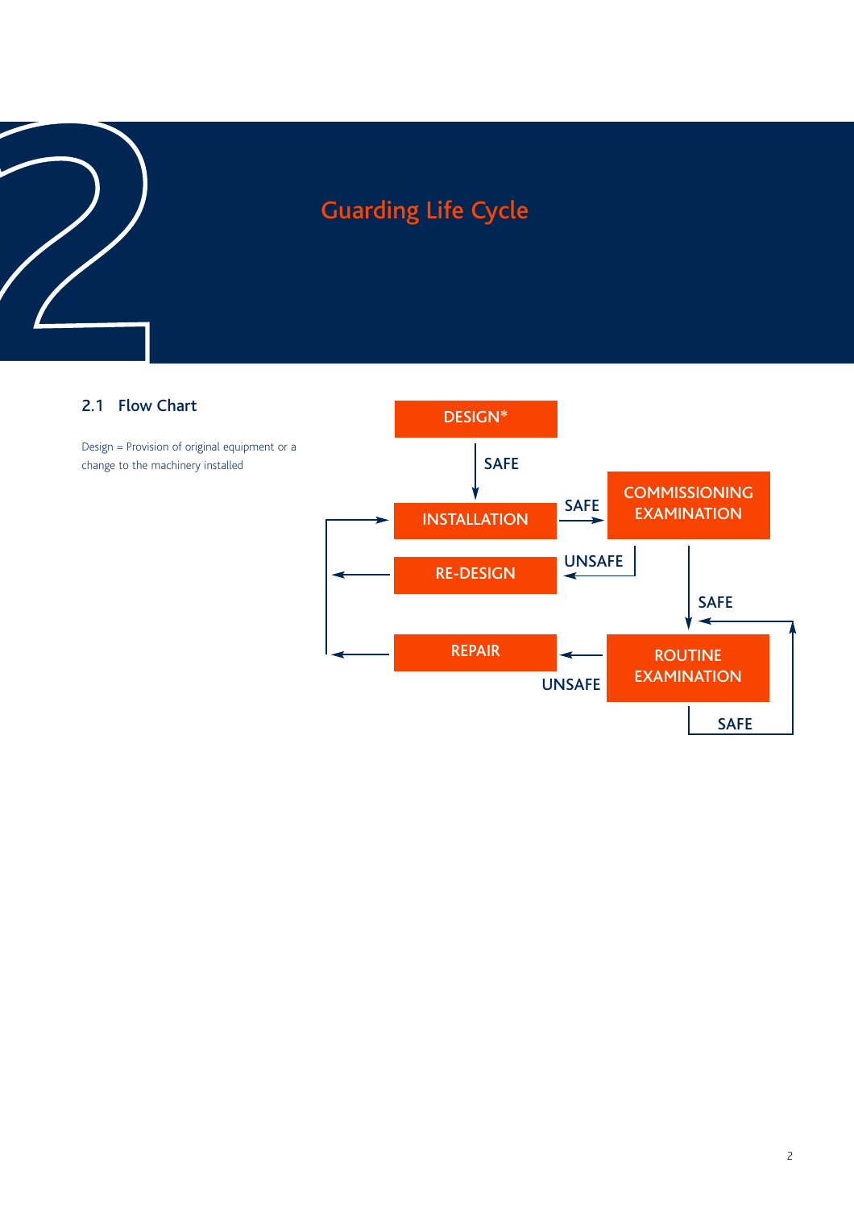### 2.1 Flow Chart

Design = Provision of original equipment or a change to the machinery installed

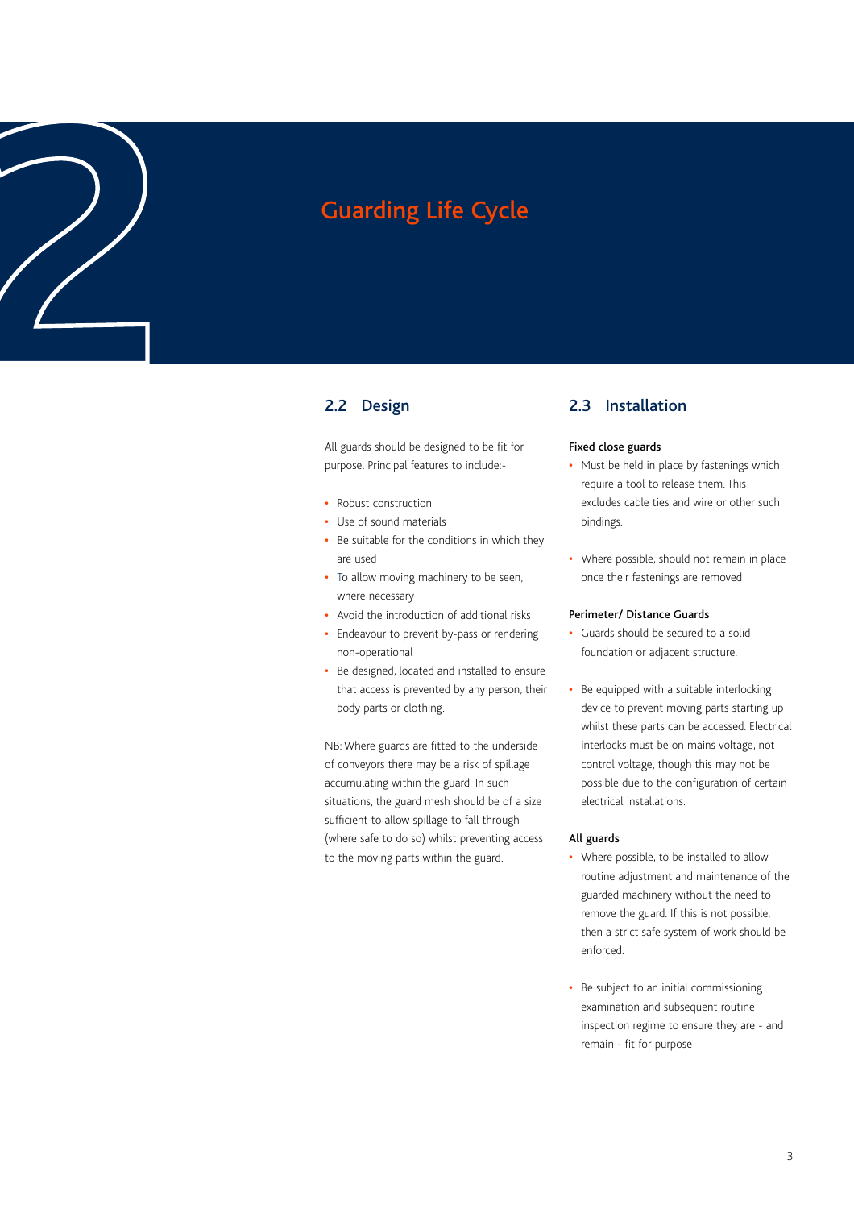# Guarding Life Cycle<br>
2.2 Design<br>
<sup>2.2</sup> Design<br>
<sup>21</sup> guards should be designed to be fit for

### 2.2 Design

All guards should be designed to be fit for purpose. Principal features to include:-

- **•** Robust construction
- **•** Use of sound materials
- **•** Be suitable for the conditions in which they are used
- **•** To allow moving machinery to be seen, where necessary
- **•** Avoid the introduction of additional risks
- **•** Endeavour to prevent by-pass or rendering non-operational
- **•** Be designed, located and installed to ensure that access is prevented by any person, their body parts or clothing.

NB: Where guards are fitted to the underside of conveyors there may be a risk of spillage accumulating within the guard. In such situations, the guard mesh should be of a size sufficient to allow spillage to fall through (where safe to do so) whilst preventing access to the moving parts within the guard.

### 2.3 Installation

### Fixed close guards

- **•** Must be held in place by fastenings which require a tool to release them. This excludes cable ties and wire or other such bindings.
- **•** Where possible, should not remain in place once their fastenings are removed

### Perimeter/ Distance Guards

- **•** Guards should be secured to a solid foundation or adjacent structure.
- **•** Be equipped with a suitable interlocking device to prevent moving parts starting up whilst these parts can be accessed. Electrical interlocks must be on mains voltage, not control voltage, though this may not be possible due to the configuration of certain electrical installations.

### All guards

- **•** Where possible, to be installed to allow routine adjustment and maintenance of the guarded machinery without the need to remove the guard. If this is not possible, then a strict safe system of work should be enforced.
- **•** Be subject to an initial commissioning examination and subsequent routine inspection regime to ensure they are - and remain - fit for purpose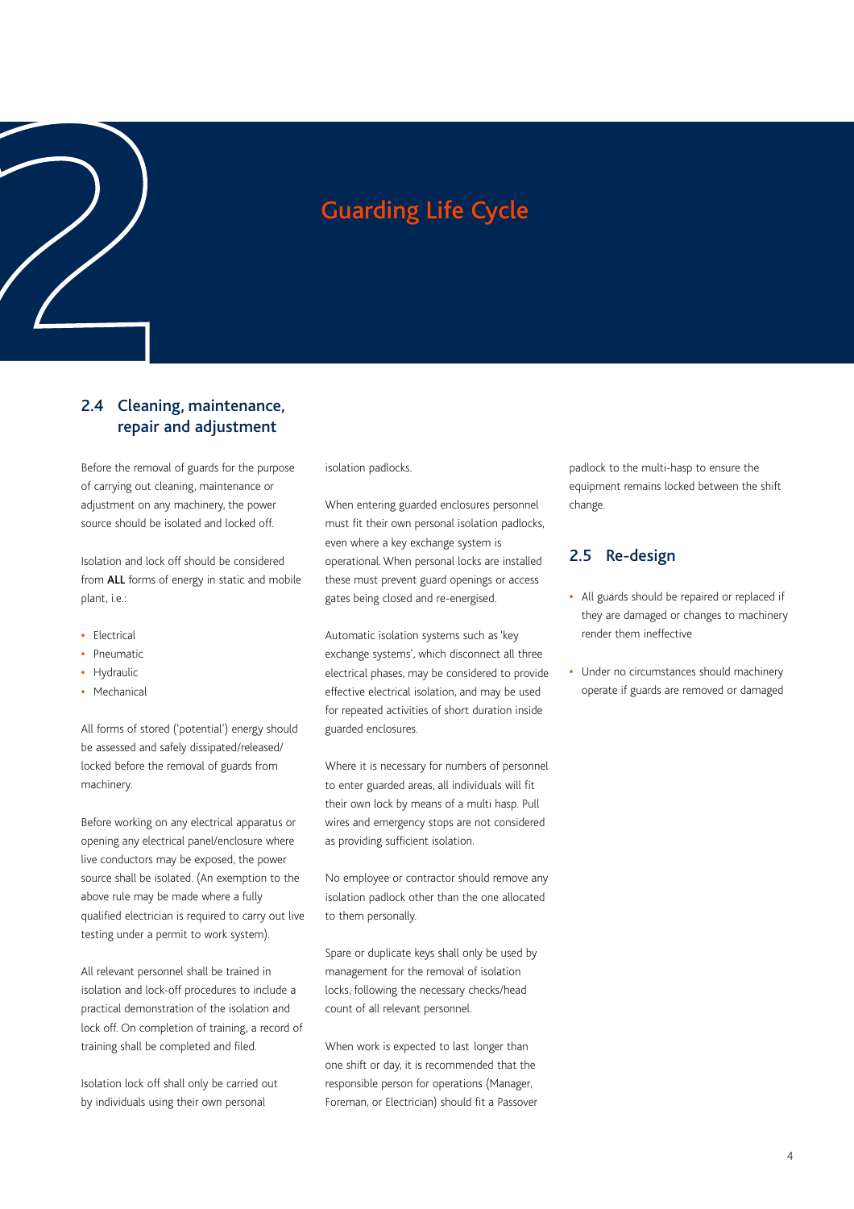### 2.4 Cleaning, maintenance, repair and adjustment Guarding Life Cycle<br>
2.4 Cleaning, maintenance,<br>
repair and adjustment

Before the removal of guards for the purpose of carrying out cleaning, maintenance or adjustment on any machinery, the power source should be isolated and locked off.

Isolation and lock off should be considered from ALL forms of energy in static and mobile plant, i.e.:

- **•** Electrical
- **•** Pneumatic
- **•** Hydraulic
- **•** Mechanical

All forms of stored ('potential') energy should be assessed and safely dissipated/released/ locked before the removal of guards from machinery.

Before working on any electrical apparatus or opening any electrical panel/enclosure where live conductors may be exposed, the power source shall be isolated. (An exemption to the above rule may be made where a fully qualified electrician is required to carry out live testing under a permit to work system).

All relevant personnel shall be trained in isolation and lock-off procedures to include a practical demonstration of the isolation and lock off. On completion of training, a record of training shall be completed and filed.

Isolation lock off shall only be carried out by individuals using their own personal

isolation padlocks.

When entering guarded enclosures personnel must fit their own personal isolation padlocks, even where a key exchange system is operational. When personal locks are installed these must prevent guard openings or access gates being closed and re-energised.

Automatic isolation systems such as 'key exchange systems', which disconnect all three electrical phases, may be considered to provide effective electrical isolation, and may be used for repeated activities of short duration inside guarded enclosures.

Where it is necessary for numbers of personnel to enter guarded areas, all individuals will fit their own lock by means of a multi hasp. Pull wires and emergency stops are not considered as providing sufficient isolation.

No employee or contractor should remove any isolation padlock other than the one allocated to them personally.

Spare or duplicate keys shall only be used by management for the removal of isolation locks, following the necessary checks/head count of all relevant personnel.

When work is expected to last longer than one shift or day, it is recommended that the responsible person for operations (Manager, Foreman, or Electrician) should fit a Passover padlock to the multi-hasp to ensure the equipment remains locked between the shift change.

### 2.5 Re-design

- **•** All guards should be repaired or replaced if they are damaged or changes to machinery render them ineffective
- **•** Under no circumstances should machinery operate if guards are removed or damaged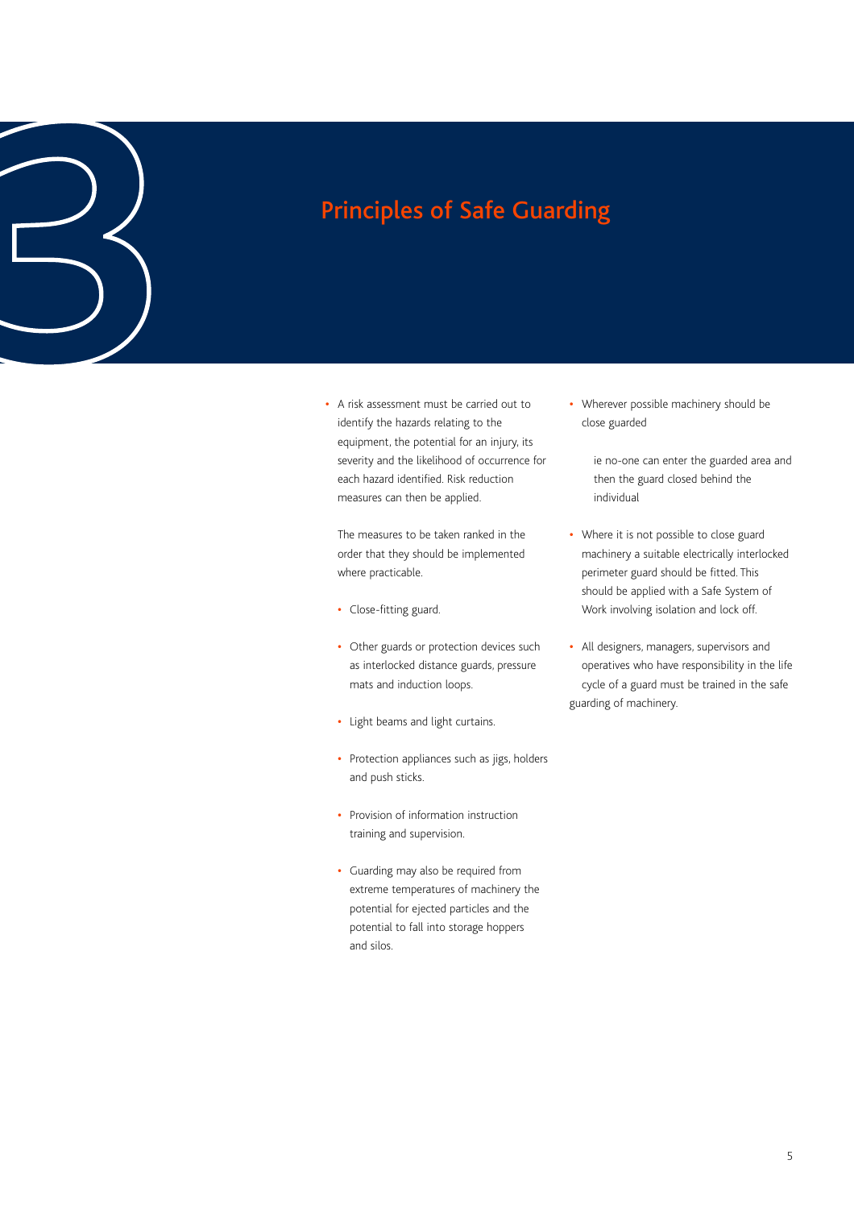**•** A risk assessment must be carried out to identify the hazards relating to the equipment, the potential for an injury, its severity and the likelihood of occurrence for each hazard identified. Risk reduction measures can then be applied. Principles of Safe Guarding **3**

> The measures to be taken ranked in the order that they should be implemented where practicable.

- **•** Close-fitting guard.
- **•** Other guards or protection devices such as interlocked distance guards, pressure mats and induction loops.
- **•** Light beams and light curtains.
- **•** Protection appliances such as jigs, holders and push sticks.
- **•** Provision of information instruction training and supervision.
- **•** Guarding may also be required from extreme temperatures of machinery the potential for ejected particles and the potential to fall into storage hoppers and silos.

**•** Wherever possible machinery should be close guarded

> ie no-one can enter the guarded area and then the guard closed behind the individual

- **•** Where it is not possible to close guard machinery a suitable electrically interlocked perimeter guard should be fitted. This should be applied with a Safe System of Work involving isolation and lock off.
- **•** All designers, managers, supervisors and operatives who have responsibility in the life cycle of a guard must be trained in the safe guarding of machinery.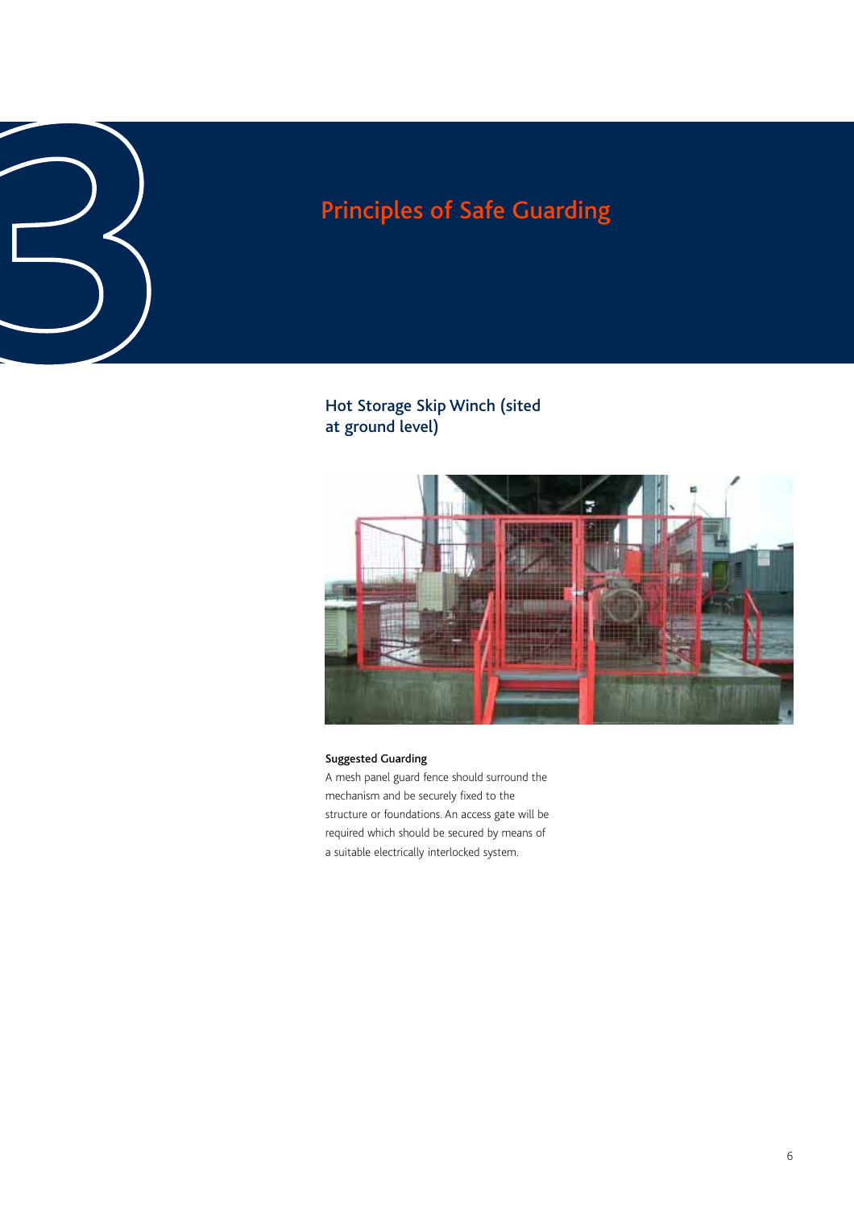Hot Storage Skip Winch (sited at ground level)



### Suggested Guarding

A mesh panel guard fence should surround the mechanism and be securely fixed to the structure or foundations. An access gate will be required which should be secured by means of a suitable electrically interlocked system.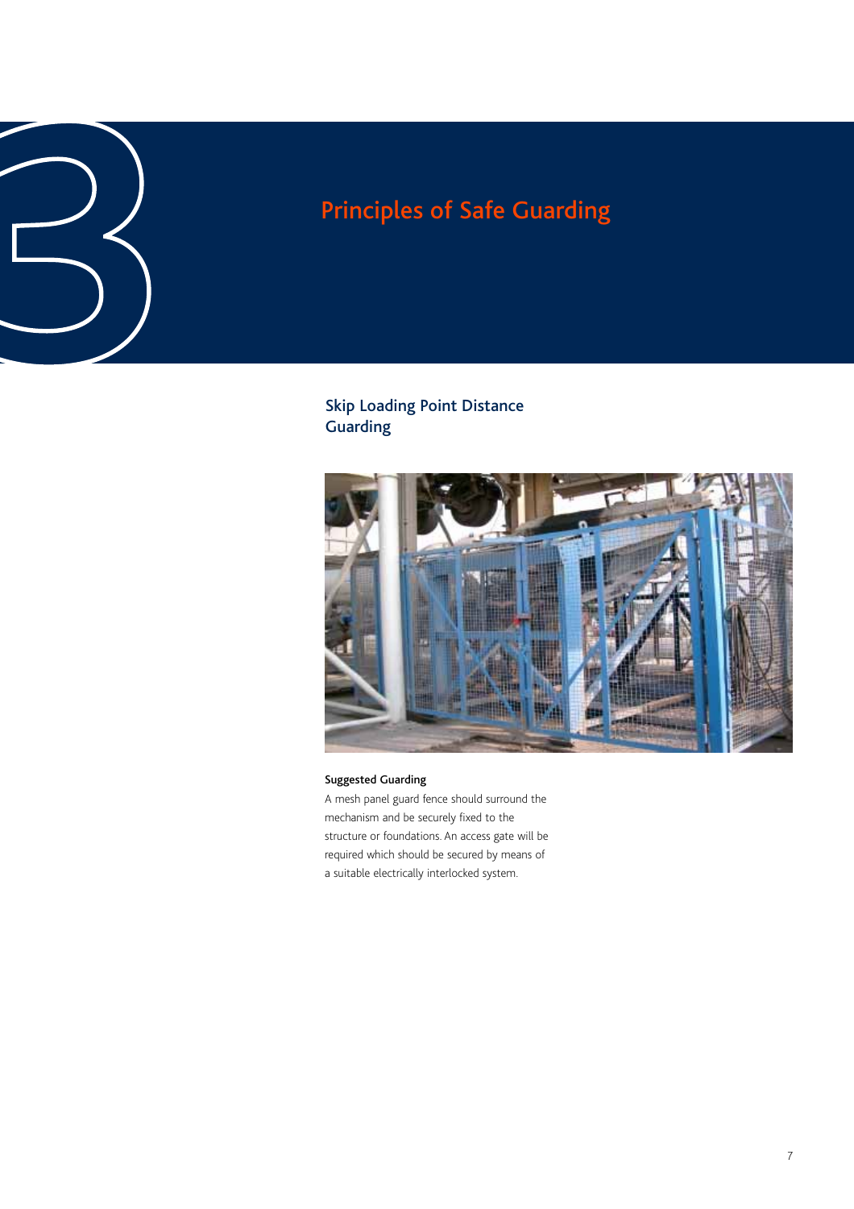# Principles of Safe Guarding<br>
3<br>
3<br>
3<br>
<sup>Skip Loading Point Distance<br>
Guarding<br>
<sup>3</sup></sup>

### Skip Loading Point Distance Guarding



### Suggested Guarding

A mesh panel guard fence should surround the mechanism and be securely fixed to the structure or foundations. An access gate will be required which should be secured by means of a suitable electrically interlocked system.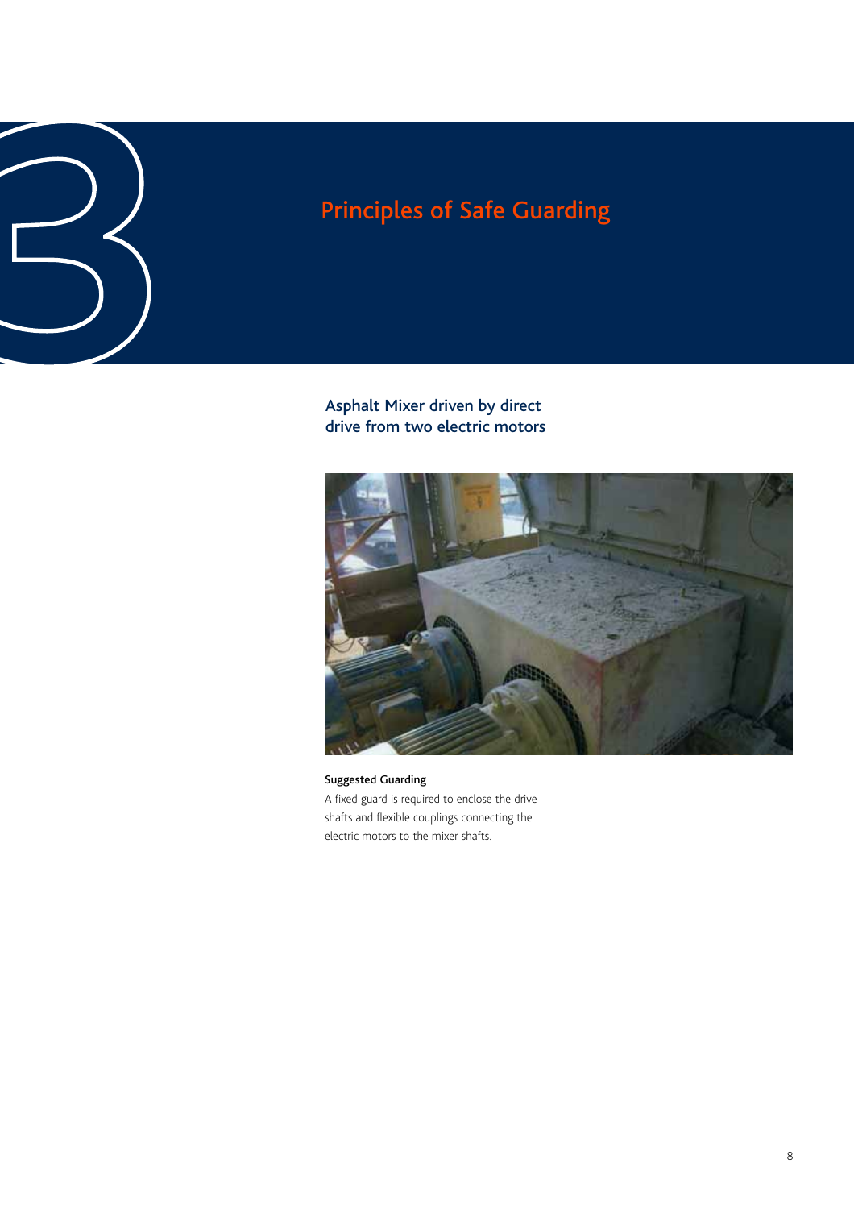# Principles of Safe Guarding<br>
3<br> **3**<br>
Asphalt Mixer driven by direct<br>
drive from two electric motors

Asphalt Mixer driven by direct drive from two electric motors



Suggested Guarding A fixed guard is required to enclose the drive shafts and flexible couplings connecting the electric motors to the mixer shafts.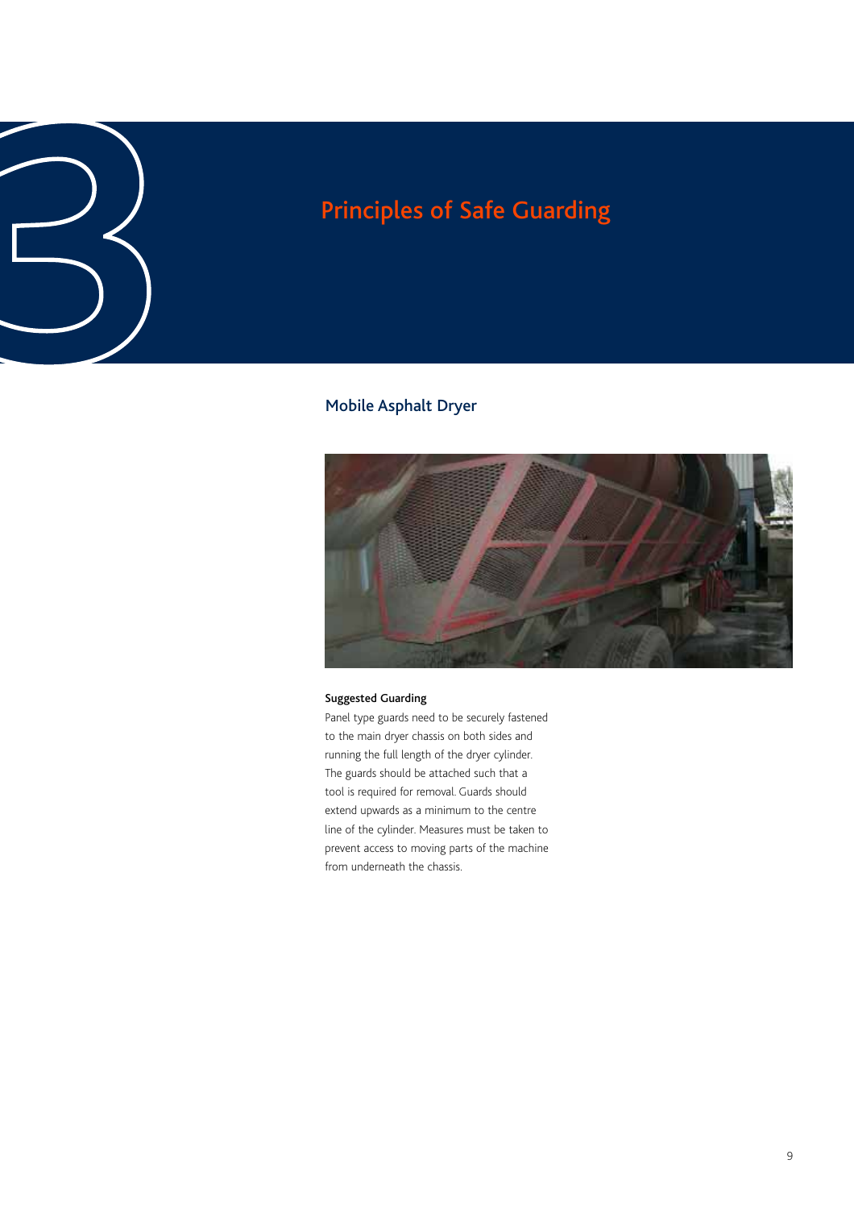# Principles of Safe Guarding<br>
3<br>
3<br>
Mobile Asphalt Dryer<br>
Mobile Asphalt Dryer

### Mobile Asphalt Dryer



### Suggested Guarding

Panel type guards need to be securely fastened to the main dryer chassis on both sides and running the full length of the dryer cylinder. The guards should be attached such that a tool is required for removal. Guards should extend upwards as a minimum to the centre line of the cylinder. Measures must be taken to prevent access to moving parts of the machine from underneath the chassis.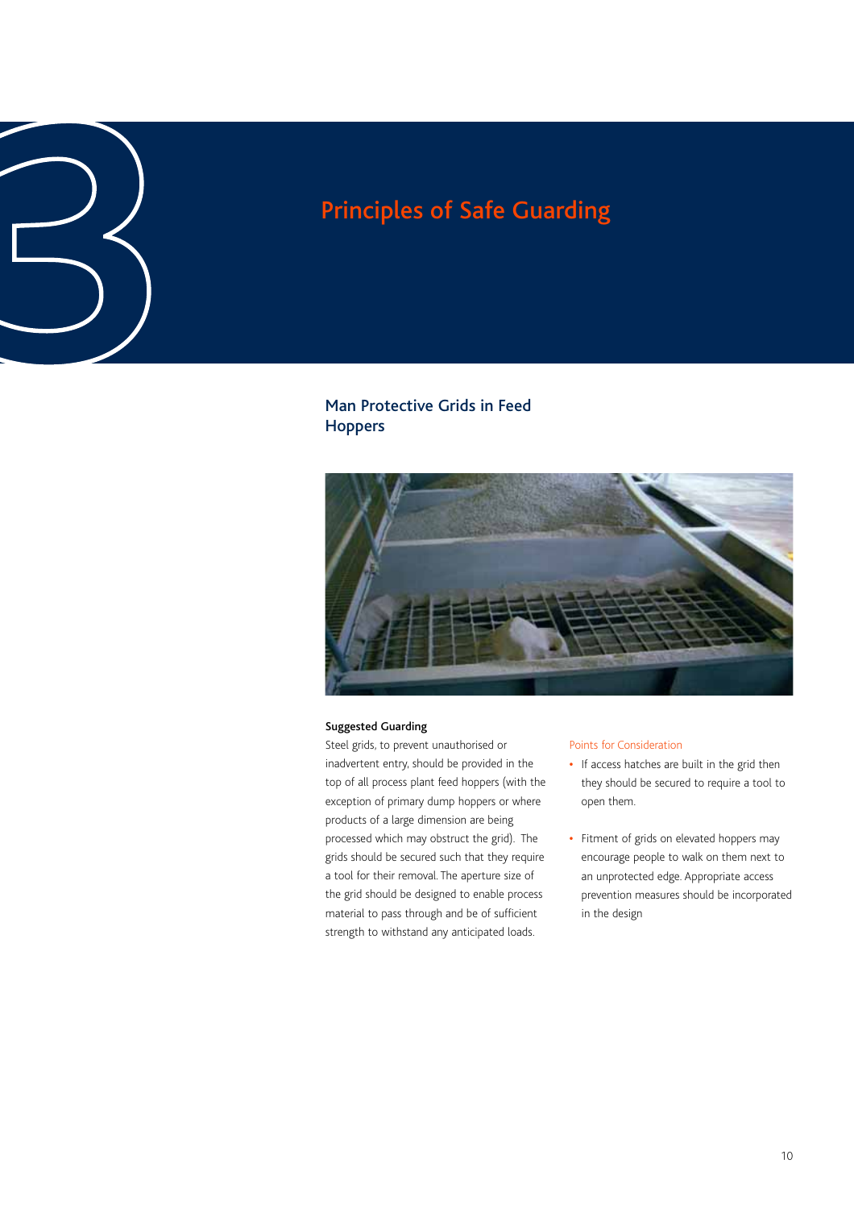# Principles of Safe Guarding<br> **3**<br> **3**<br>
Man Protective Grids in Feed<br>
Hoppers

### Man Protective Grids in Feed Hoppers



### Suggested Guarding

Steel grids, to prevent unauthorised or inadvertent entry, should be provided in the top of all process plant feed hoppers (with the exception of primary dump hoppers or where products of a large dimension are being processed which may obstruct the grid). The grids should be secured such that they require a tool for their removal. The aperture size of the grid should be designed to enable process material to pass through and be of sufficient strength to withstand any anticipated loads.

### Points for Consideration

- **•** If access hatches are built in the grid then they should be secured to require a tool to open them.
- **•** Fitment of grids on elevated hoppers may encourage people to walk on them next to an unprotected edge. Appropriate access prevention measures should be incorporated in the design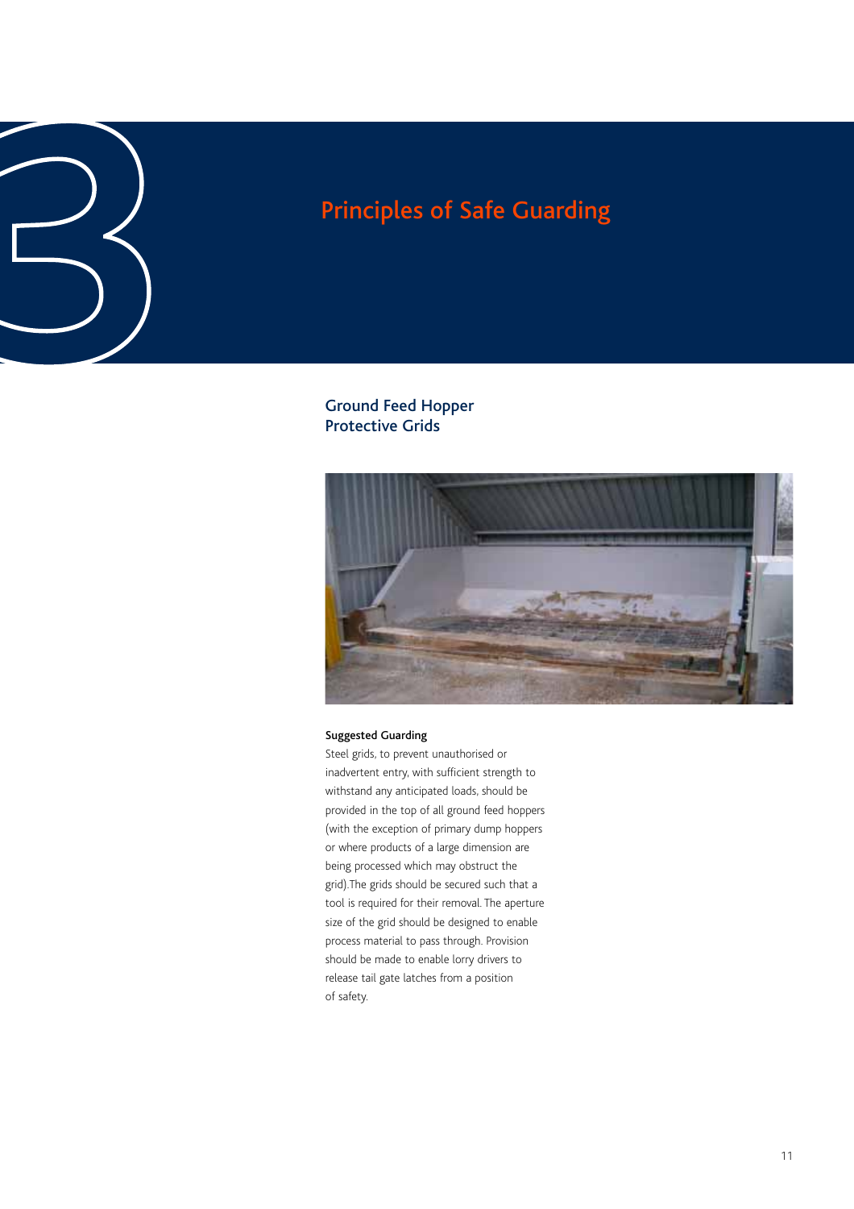Ground Feed Hopper Protective Grids



### Suggested Guarding

Steel grids, to prevent unauthorised or inadvertent entry, with sufficient strength to withstand any anticipated loads, should be provided in the top of all ground feed hoppers (with the exception of primary dump hoppers or where products of a large dimension are being processed which may obstruct the grid).The grids should be secured such that a tool is required for their removal. The aperture size of the grid should be designed to enable process material to pass through. Provision should be made to enable lorry drivers to release tail gate latches from a position of safety.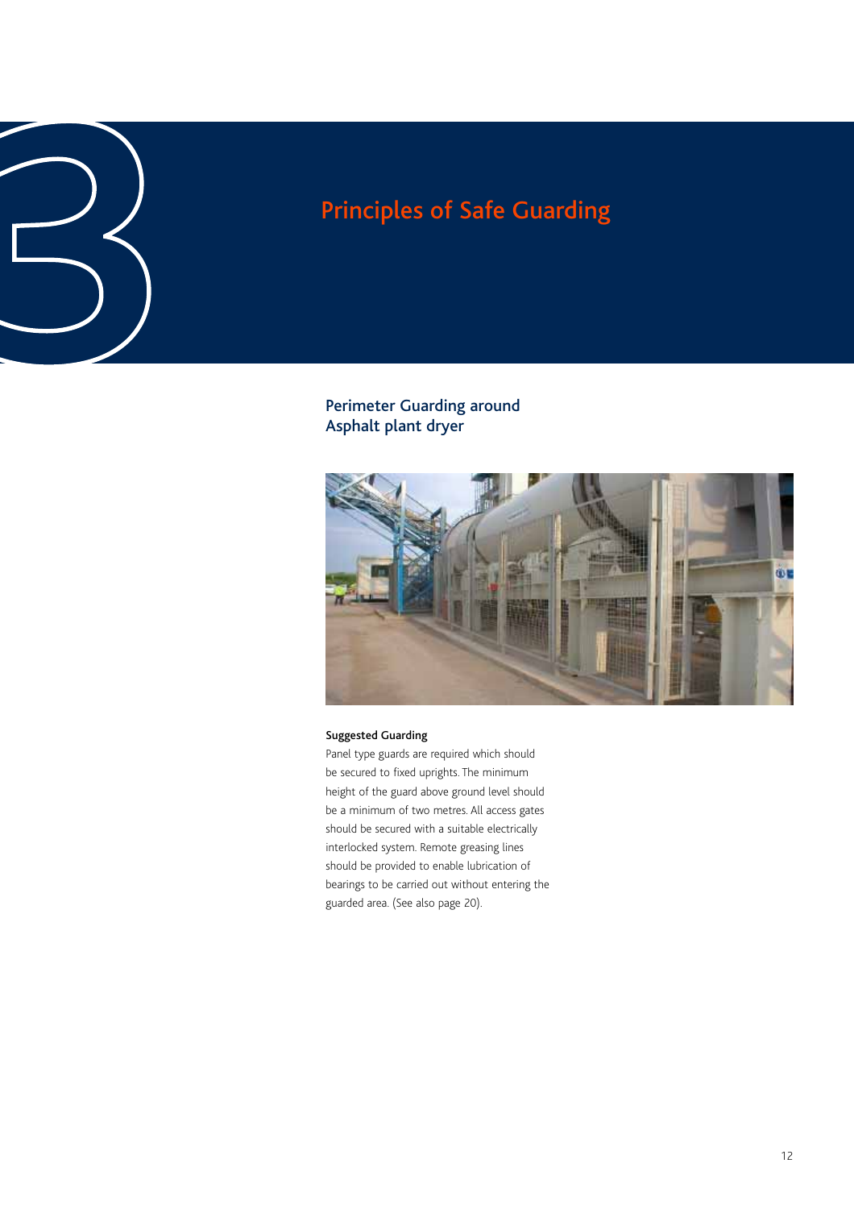# Principles of Safe Guarding<br> **3**<br> **3**<br>
Perimeter Guarding around<br>
Asphalt plant dryer

Perimeter Guarding around Asphalt plant dryer



### Suggested Guarding

Panel type guards are required which should be secured to fixed uprights. The minimum height of the guard above ground level should be a minimum of two metres. All access gates should be secured with a suitable electrically interlocked system. Remote greasing lines should be provided to enable lubrication of bearings to be carried out without entering the guarded area. (See also page 20).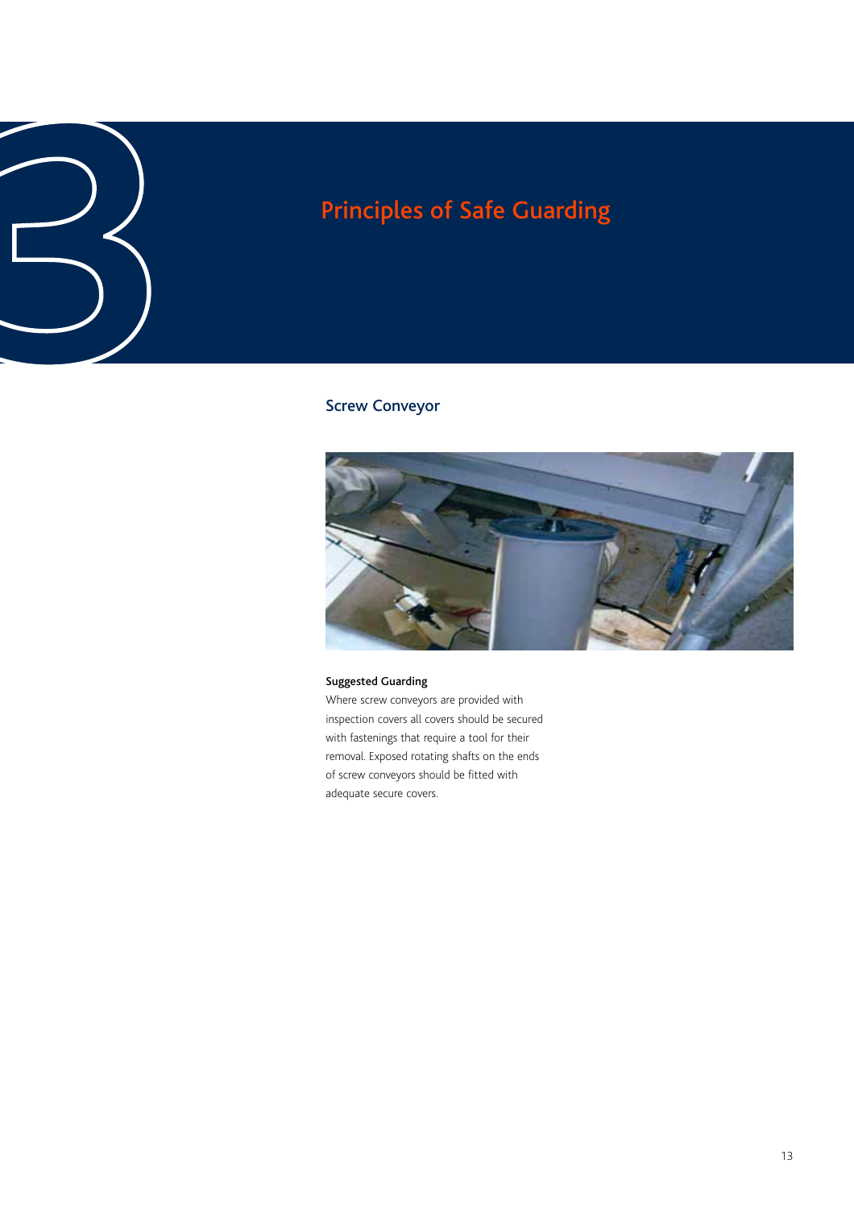### Screw Conveyor



### Suggested Guarding

Where screw conveyors are provided with inspection covers all covers should be secured with fastenings that require a tool for their removal. Exposed rotating shafts on the ends of screw conveyors should be fitted with adequate secure covers.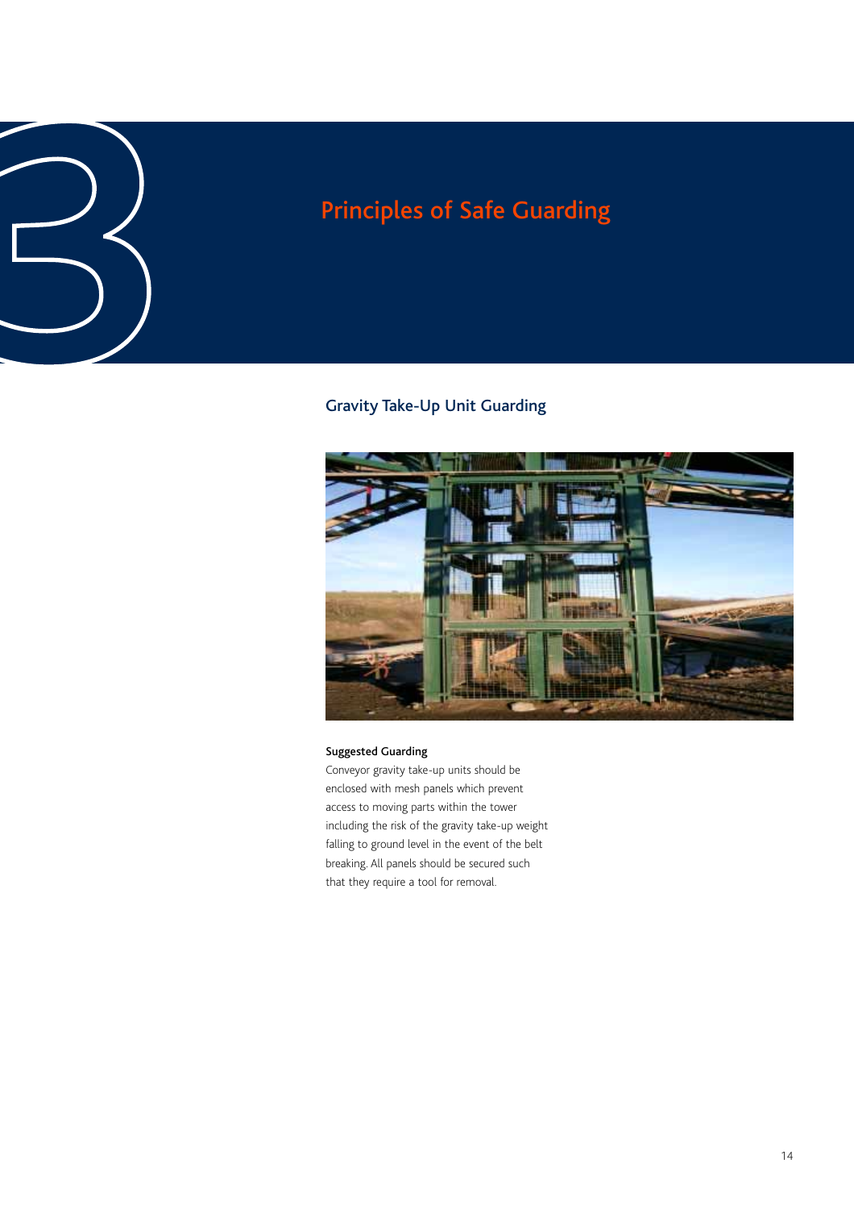# Principles of Safe Guarding<br>
3<br>
3<br>
3<br>
Gravity Take-Up Unit Guarding

### Gravity Take-Up Unit Guarding



### Suggested Guarding

Conveyor gravity take-up units should be enclosed with mesh panels which prevent access to moving parts within the tower including the risk of the gravity take-up weight falling to ground level in the event of the belt breaking. All panels should be secured such that they require a tool for removal.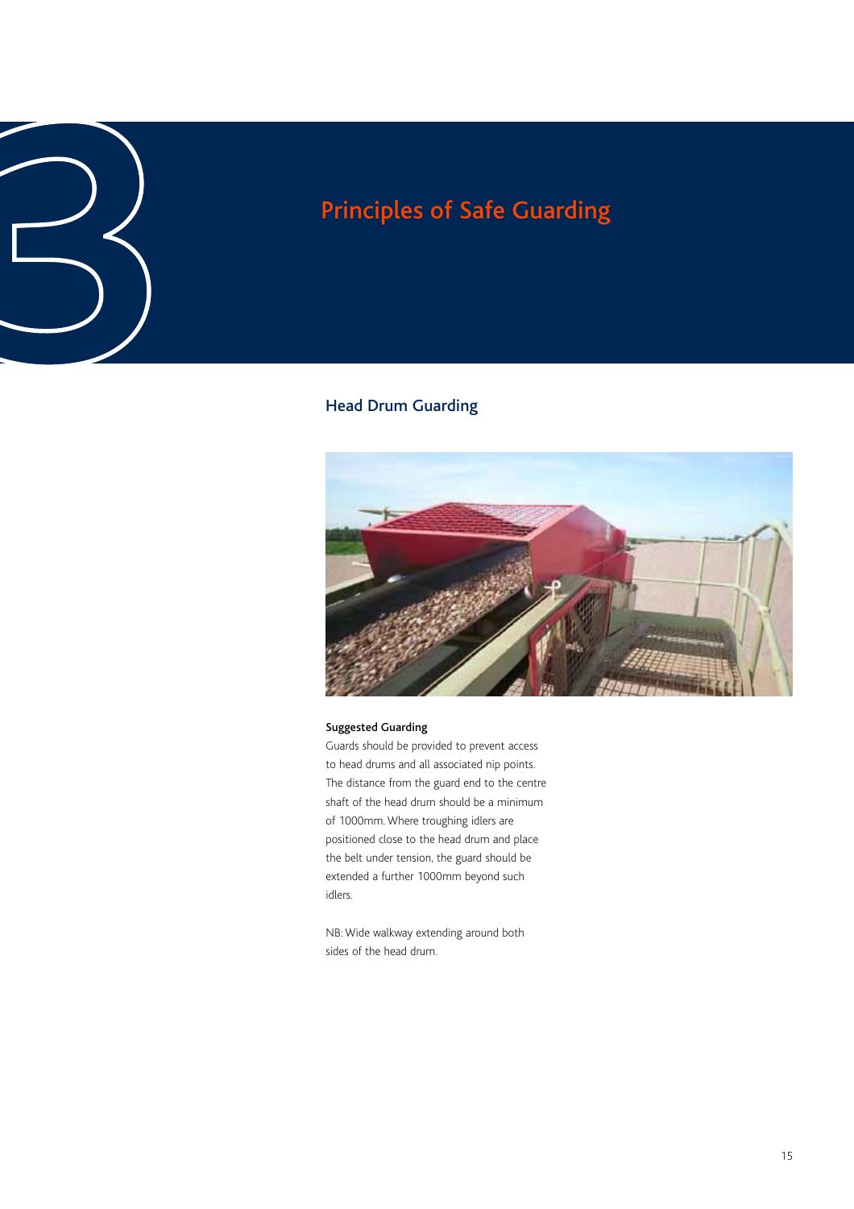# Principles of Safe Guarding<br>
3<br> **3**<br>
Head Drum Guarding<br> **3**

### Head Drum Guarding



### Suggested Guarding

Guards should be provided to prevent access to head drums and all associated nip points. The distance from the guard end to the centre shaft of the head drum should be a minimum of 1000mm. Where troughing idlers are positioned close to the head drum and place the belt under tension, the guard should be extended a further 1000mm beyond such idlers.

NB: Wide walkway extending around both sides of the head drum.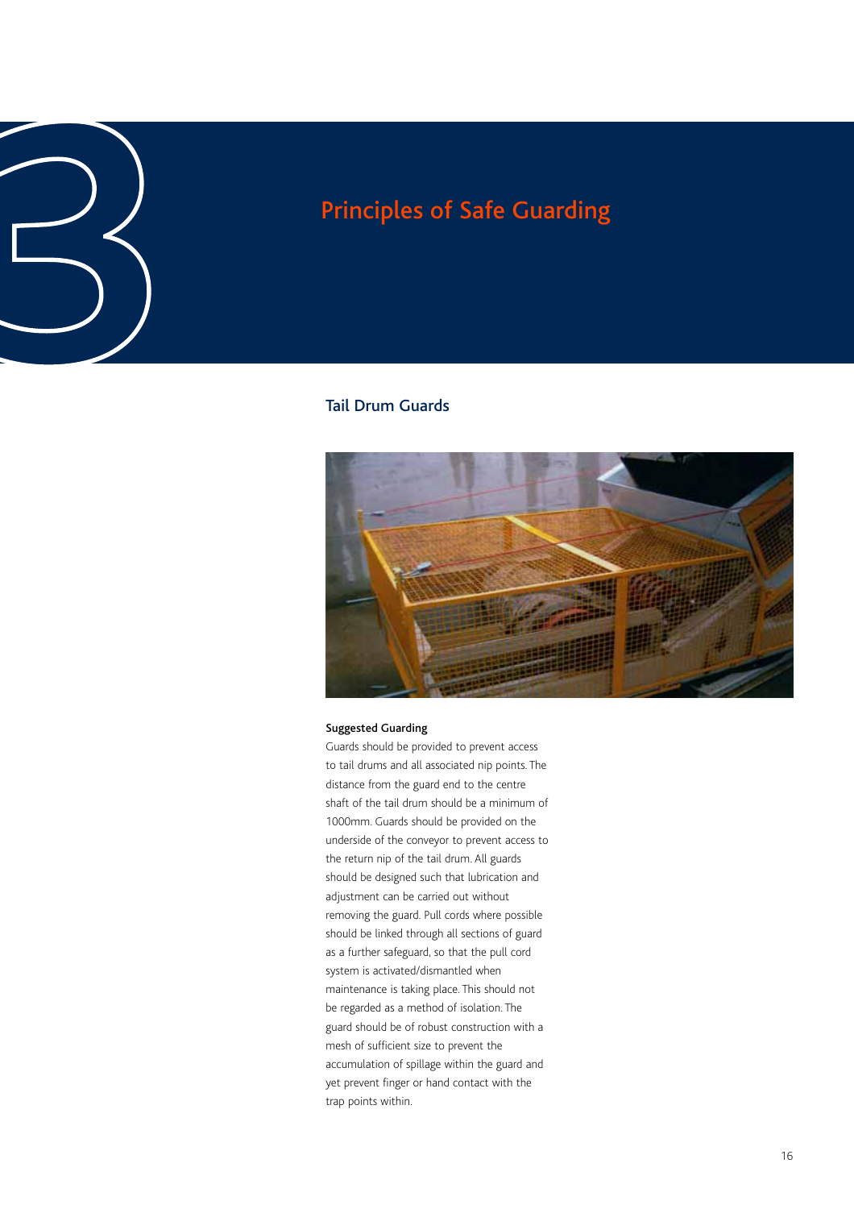### Tail Drum Guards



### Suggested Guarding

Guards should be provided to prevent access to tail drums and all associated nip points. The distance from the guard end to the centre shaft of the tail drum should be a minimum of 1000mm. Guards should be provided on the underside of the conveyor to prevent access to the return nip of the tail drum. All guards should be designed such that lubrication and adjustment can be carried out without removing the guard. Pull cords where possible should be linked through all sections of guard as a further safeguard, so that the pull cord system is activated/dismantled when maintenance is taking place. This should not be regarded as a method of isolation. The guard should be of robust construction with a mesh of sufficient size to prevent the accumulation of spillage within the guard and yet prevent finger or hand contact with the trap points within.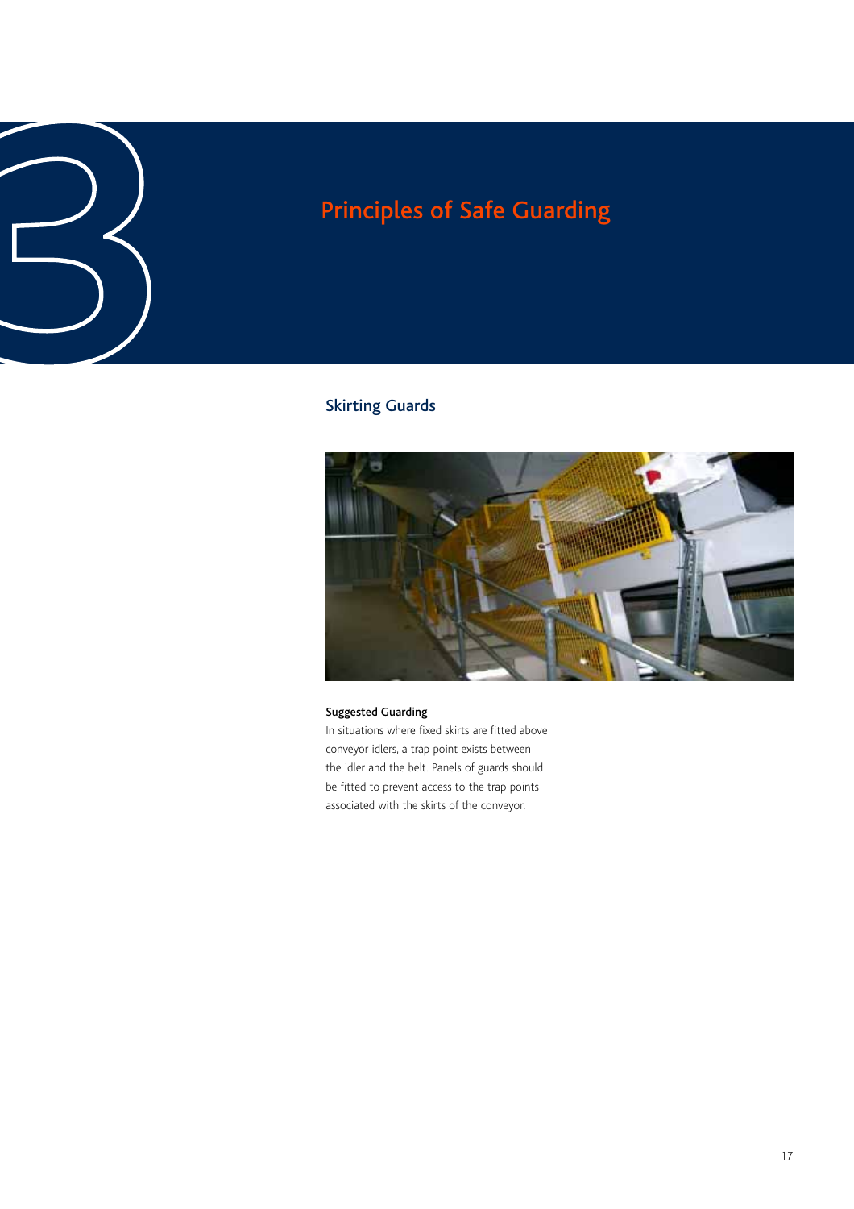### Skirting Guards



### Suggested Guarding

In situations where fixed skirts are fitted above conveyor idlers, a trap point exists between the idler and the belt. Panels of guards should be fitted to prevent access to the trap points associated with the skirts of the conveyor.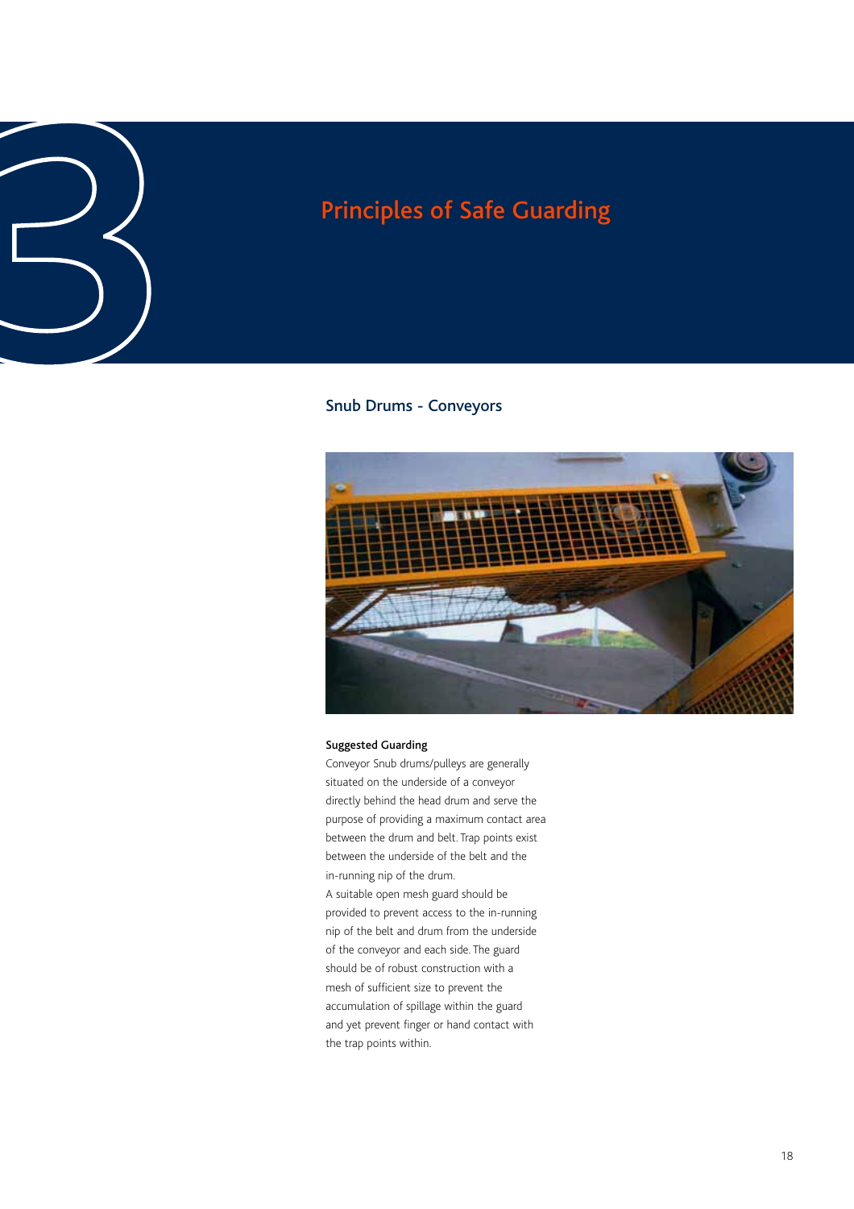### Snub Drums - Conveyors



### Suggested Guarding

Conveyor Snub drums/pulleys are generally situated on the underside of a conveyor directly behind the head drum and serve the purpose of providing a maximum contact area between the drum and belt. Trap points exist between the underside of the belt and the in-running nip of the drum.

A suitable open mesh guard should be provided to prevent access to the in-running nip of the belt and drum from the underside of the conveyor and each side. The guard should be of robust construction with a mesh of sufficient size to prevent the accumulation of spillage within the guard and yet prevent finger or hand contact with the trap points within.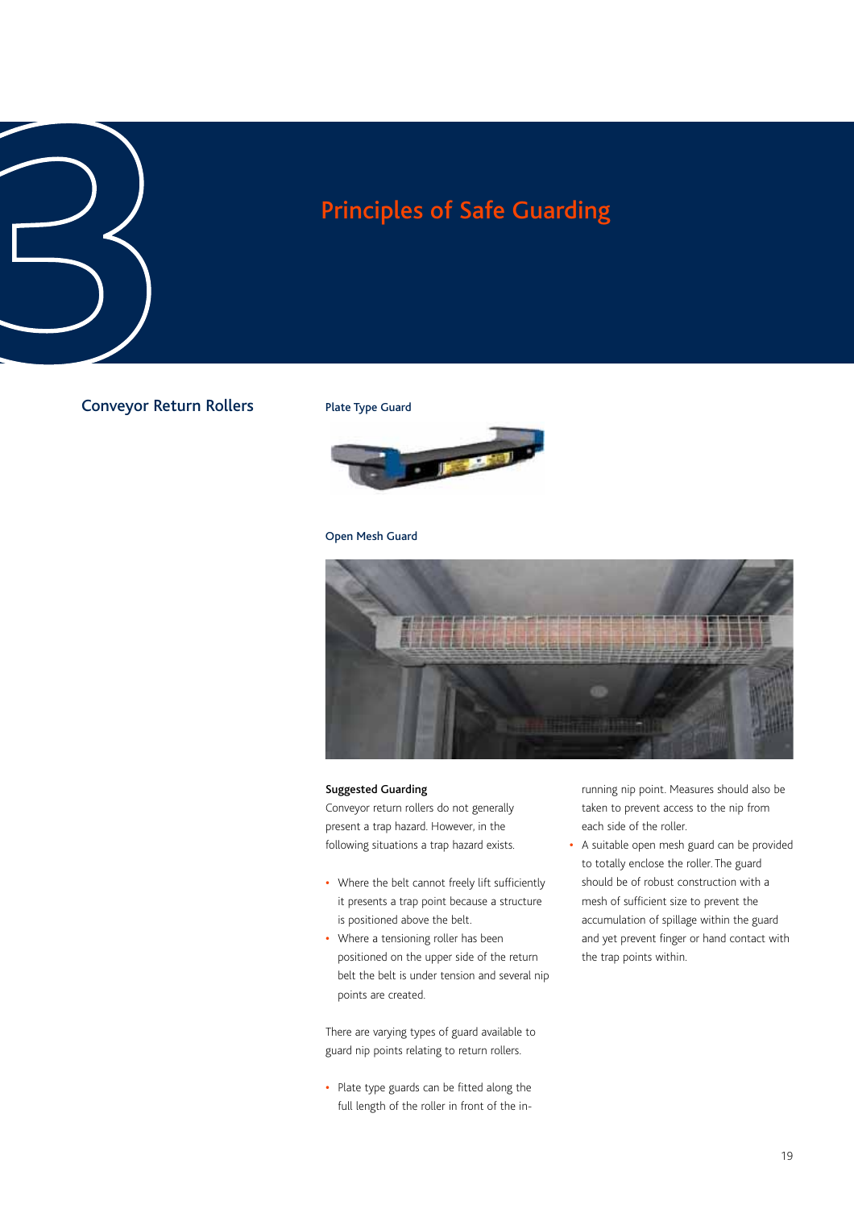### Conveyor Return Rollers

### Plate Type Guard



### Open Mesh Guard



### Suggested Guarding

Conveyor return rollers do not generally present a trap hazard. However, in the following situations a trap hazard exists.

- **•** Where the belt cannot freely lift sufficiently it presents a trap point because a structure is positioned above the belt.
- **•** Where a tensioning roller has been positioned on the upper side of the return belt the belt is under tension and several nip points are created.

There are varying types of guard available to guard nip points relating to return rollers.

**•** Plate type guards can be fitted along the full length of the roller in front of the inrunning nip point. Measures should also be taken to prevent access to the nip from each side of the roller.

**•** A suitable open mesh guard can be provided to totally enclose the roller. The guard should be of robust construction with a mesh of sufficient size to prevent the accumulation of spillage within the guard and yet prevent finger or hand contact with the trap points within.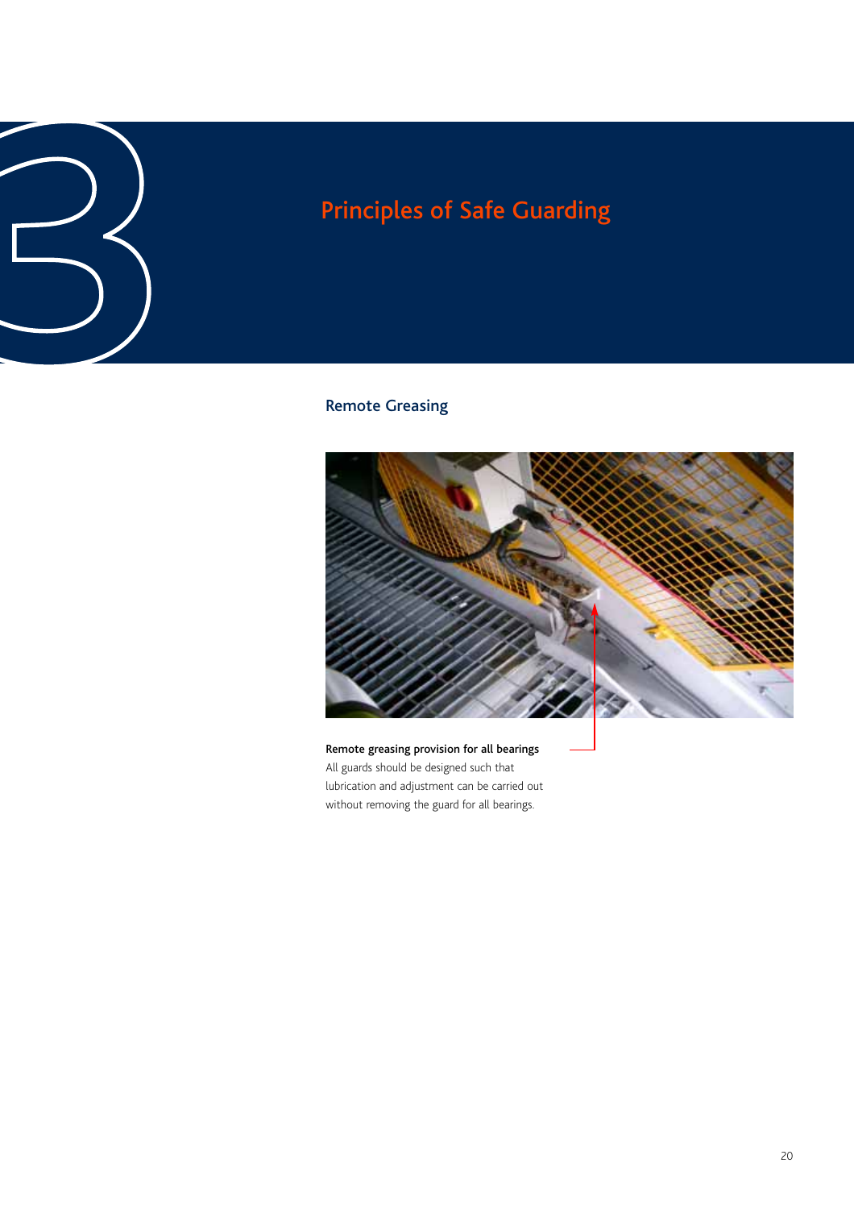# Principles of Safe Guarding<br>
3<br>
Remote Greasing<br>
<sup>Remote Greasing</sup>

### Remote Greasing



Remote greasing provision for all bearings All guards should be designed such that lubrication and adjustment can be carried out without removing the guard for all bearings.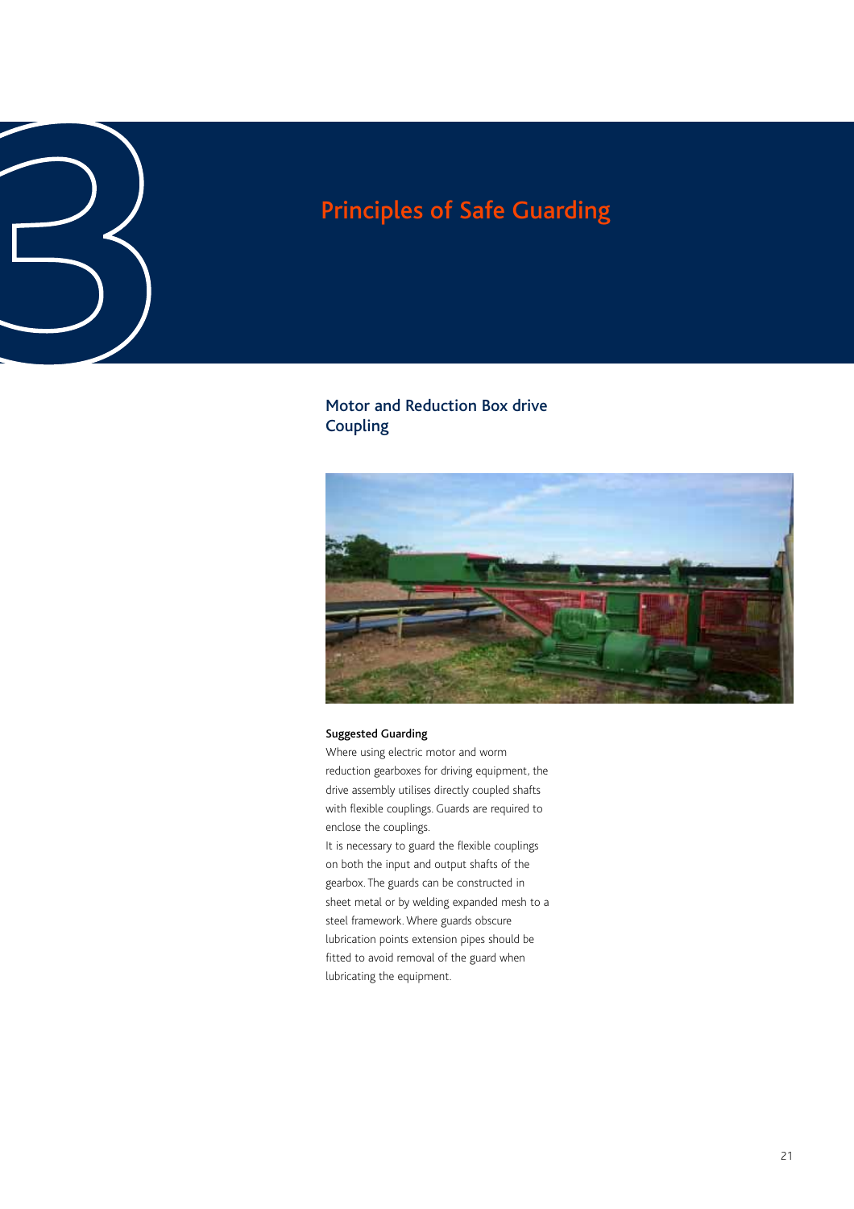### Motor and Reduction Box drive Coupling Principles of Safe Guarding<br> **3**<br>
Motor and Reduction Box drive<br>
Coupling



### Suggested Guarding

Where using electric motor and worm reduction gearboxes for driving equipment, the drive assembly utilises directly coupled shafts with flexible couplings. Guards are required to enclose the couplings.

It is necessary to guard the flexible couplings on both the input and output shafts of the gearbox. The guards can be constructed in sheet metal or by welding expanded mesh to a steel framework. Where guards obscure lubrication points extension pipes should be fitted to avoid removal of the guard when lubricating the equipment.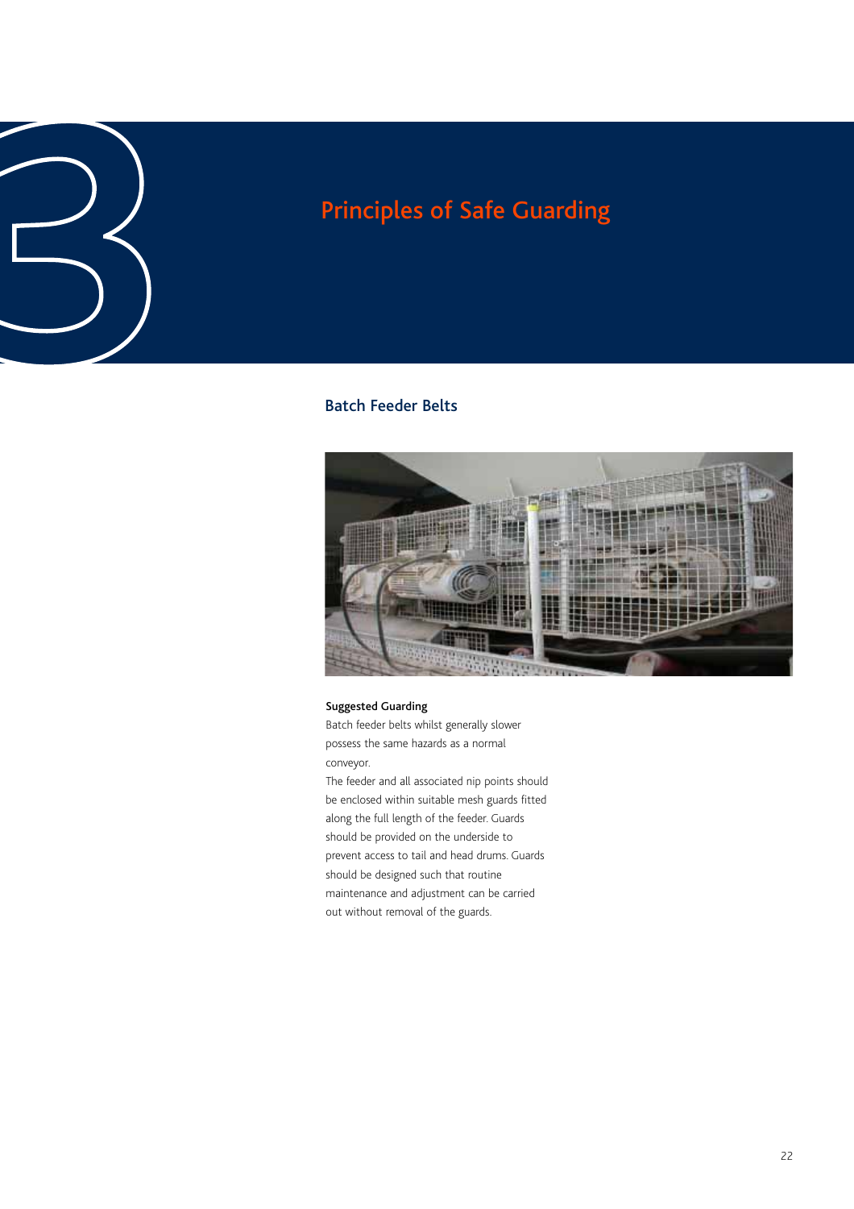# Principles of Safe Guarding<br>**3**<br>Batch Feeder Belts

### Batch Feeder Belts



### Suggested Guarding

Batch feeder belts whilst generally slower possess the same hazards as a normal conveyor.

The feeder and all associated nip points should be enclosed within suitable mesh guards fitted along the full length of the feeder. Guards should be provided on the underside to prevent access to tail and head drums. Guards should be designed such that routine maintenance and adjustment can be carried out without removal of the guards.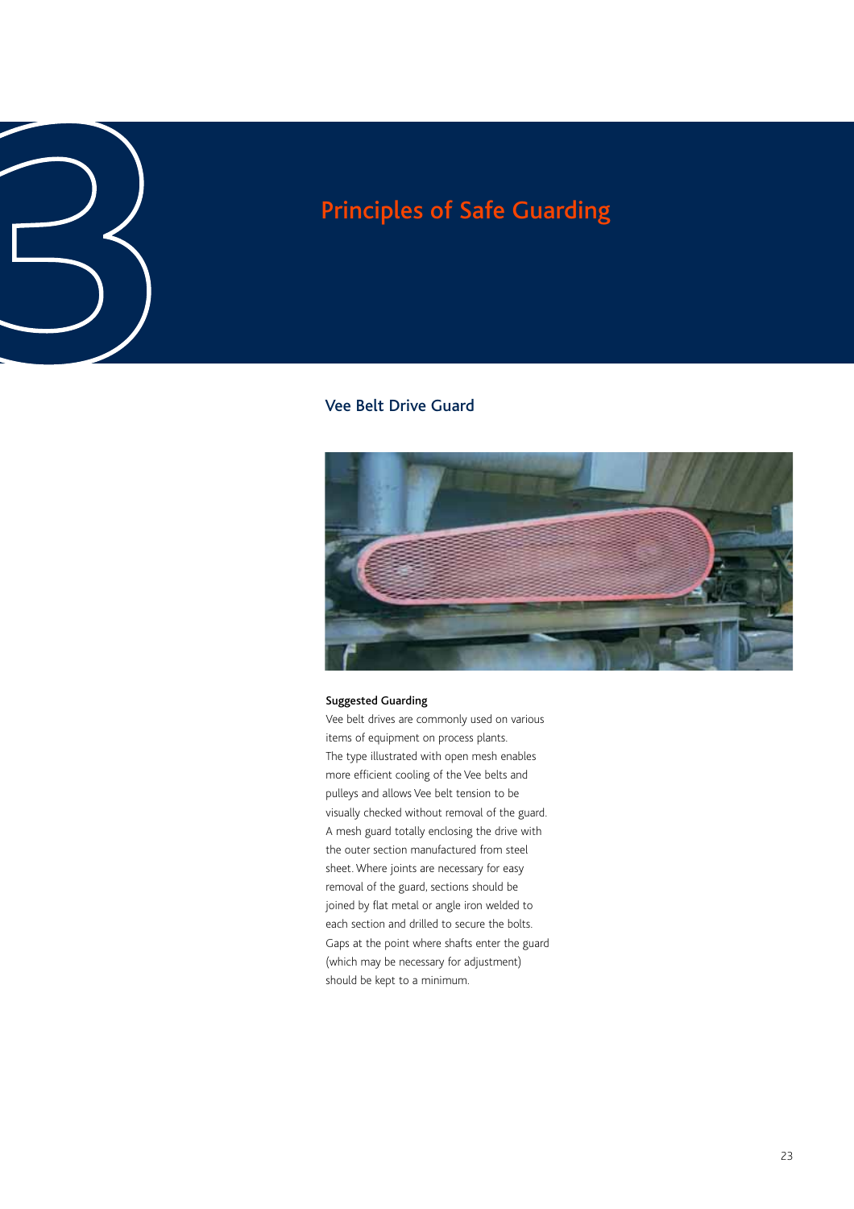# Principles of Safe Guarding<br>
3<br>
Yee Belt Drive Guard<br>
Yee Belt Drive Guard

### Vee Belt Drive Guard



### Suggested Guarding

Vee belt drives are commonly used on various items of equipment on process plants. The type illustrated with open mesh enables more efficient cooling of the Vee belts and pulleys and allows Vee belt tension to be visually checked without removal of the guard. A mesh guard totally enclosing the drive with the outer section manufactured from steel sheet. Where joints are necessary for easy removal of the guard, sections should be joined by flat metal or angle iron welded to each section and drilled to secure the bolts. Gaps at the point where shafts enter the guard (which may be necessary for adjustment) should be kept to a minimum.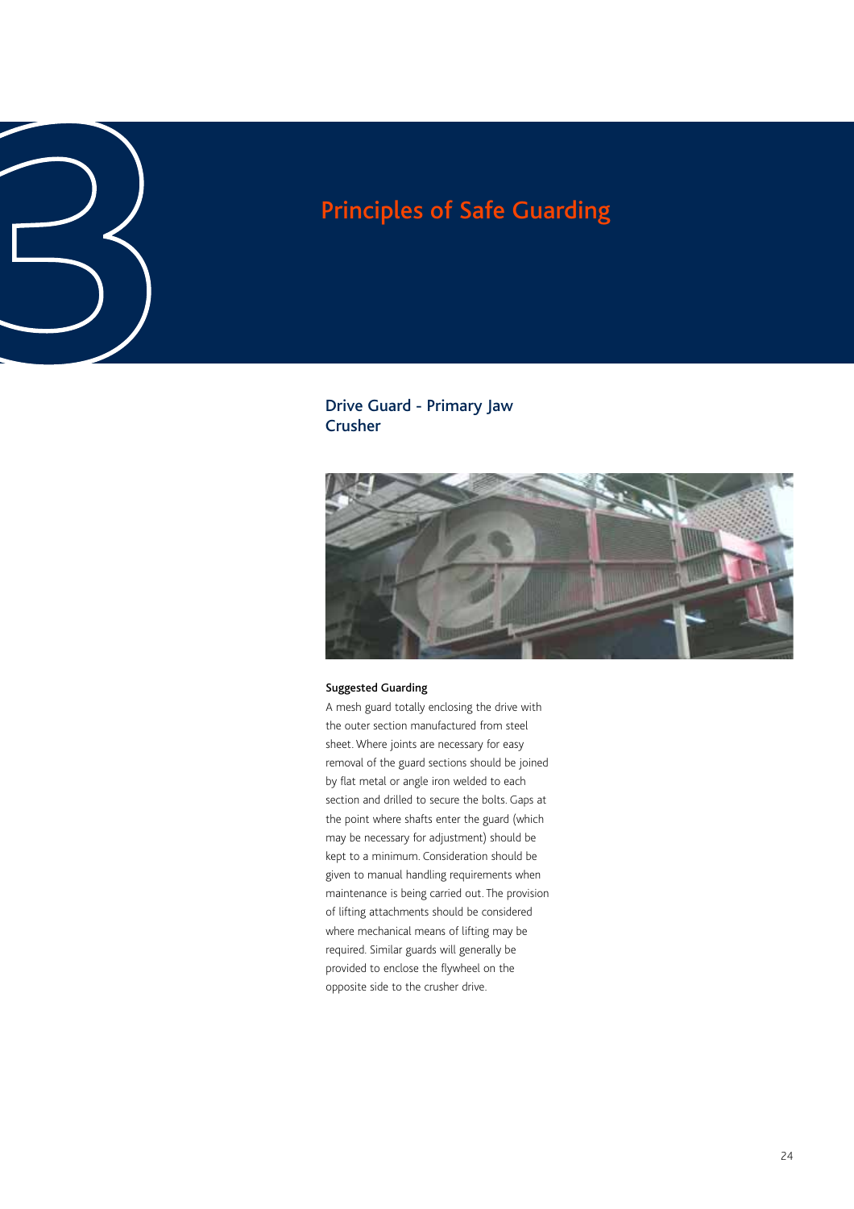# Principles of Safe Guarding<br>
3<br>
Drive Guard - Primary Jaw<br>
Crusher

Drive Guard - Primary Jaw Crusher



### Suggested Guarding

A mesh guard totally enclosing the drive with the outer section manufactured from steel sheet. Where joints are necessary for easy removal of the guard sections should be joined by flat metal or angle iron welded to each section and drilled to secure the bolts. Gaps at the point where shafts enter the guard (which may be necessary for adjustment) should be kept to a minimum. Consideration should be given to manual handling requirements when maintenance is being carried out. The provision of lifting attachments should be considered where mechanical means of lifting may be required. Similar guards will generally be provided to enclose the flywheel on the opposite side to the crusher drive.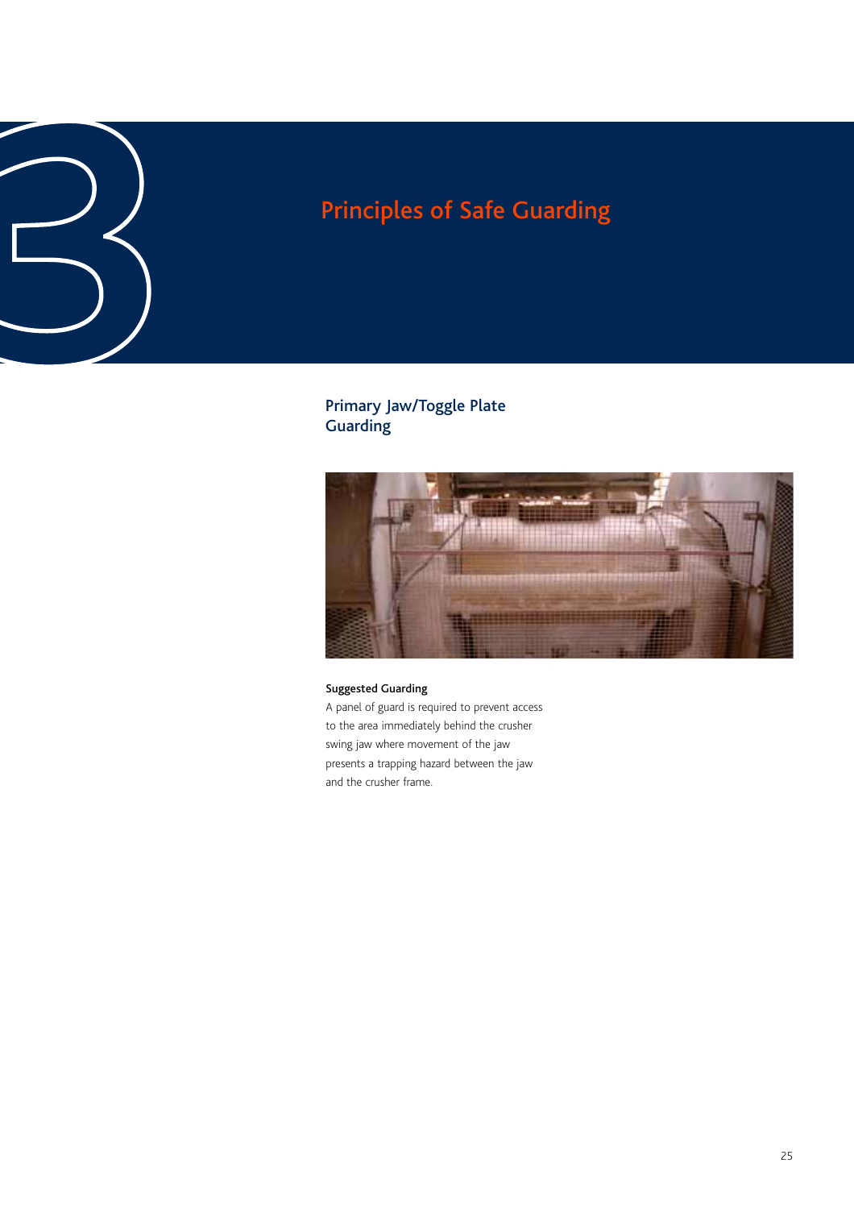# Principles of Safe Guarding<br> **3**<br>
<sup>Primary Jaw/Toggle Plate<br>
Guarding</sup>

### Primary Jaw/Toggle Plate **Guarding**



### Suggested Guarding

A panel of guard is required to prevent access to the area immediately behind the crusher swing jaw where movement of the jaw presents a trapping hazard between the jaw and the crusher frame.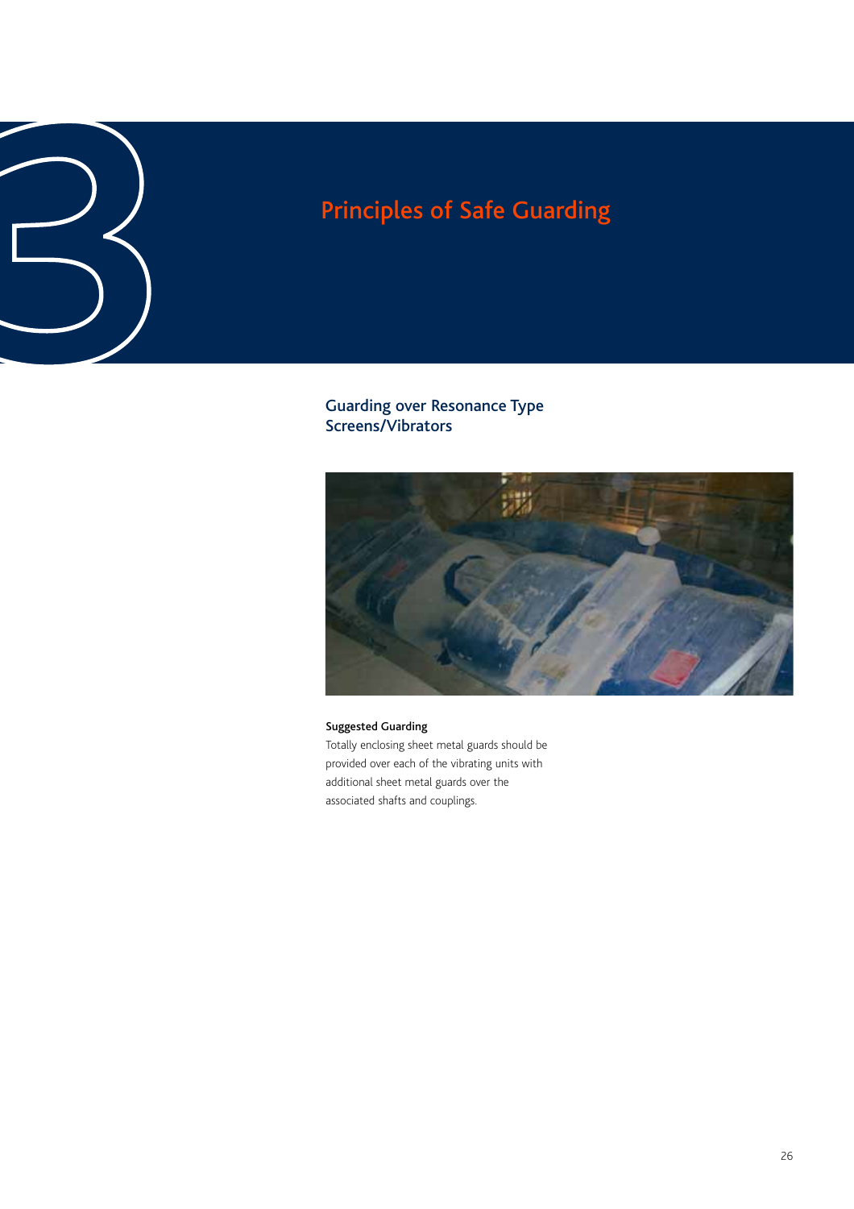Guarding over Resonance Type Screens/Vibrators



Suggested Guarding Totally enclosing sheet metal guards should be provided over each of the vibrating units with additional sheet metal guards over the associated shafts and couplings.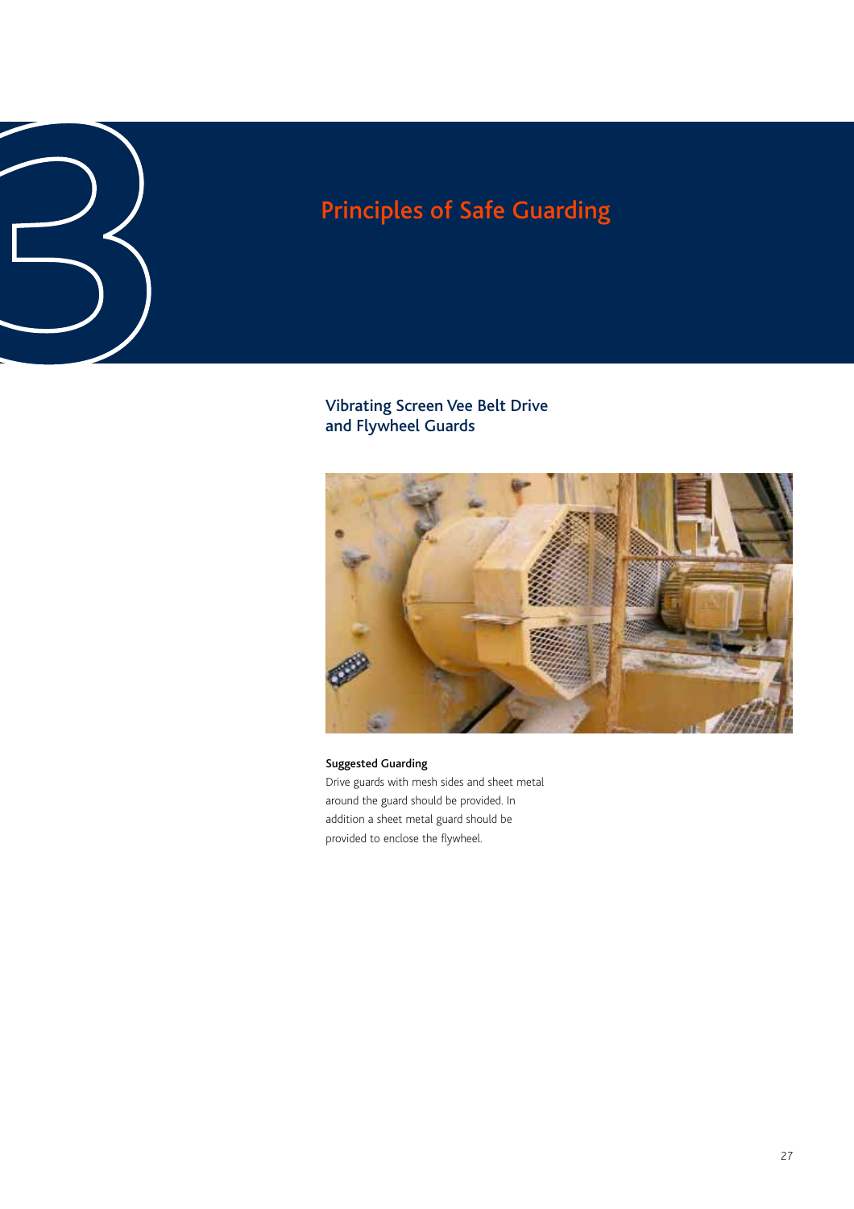# Principles of Safe Guarding<br> **3**<br>
Vibrating Screen Vee Belt Drive<br>
and Flywheel Guards

Vibrating Screen Vee Belt Drive and Flywheel Guards



Suggested Guarding Drive guards with mesh sides and sheet metal around the guard should be provided. In addition a sheet metal guard should be provided to enclose the flywheel.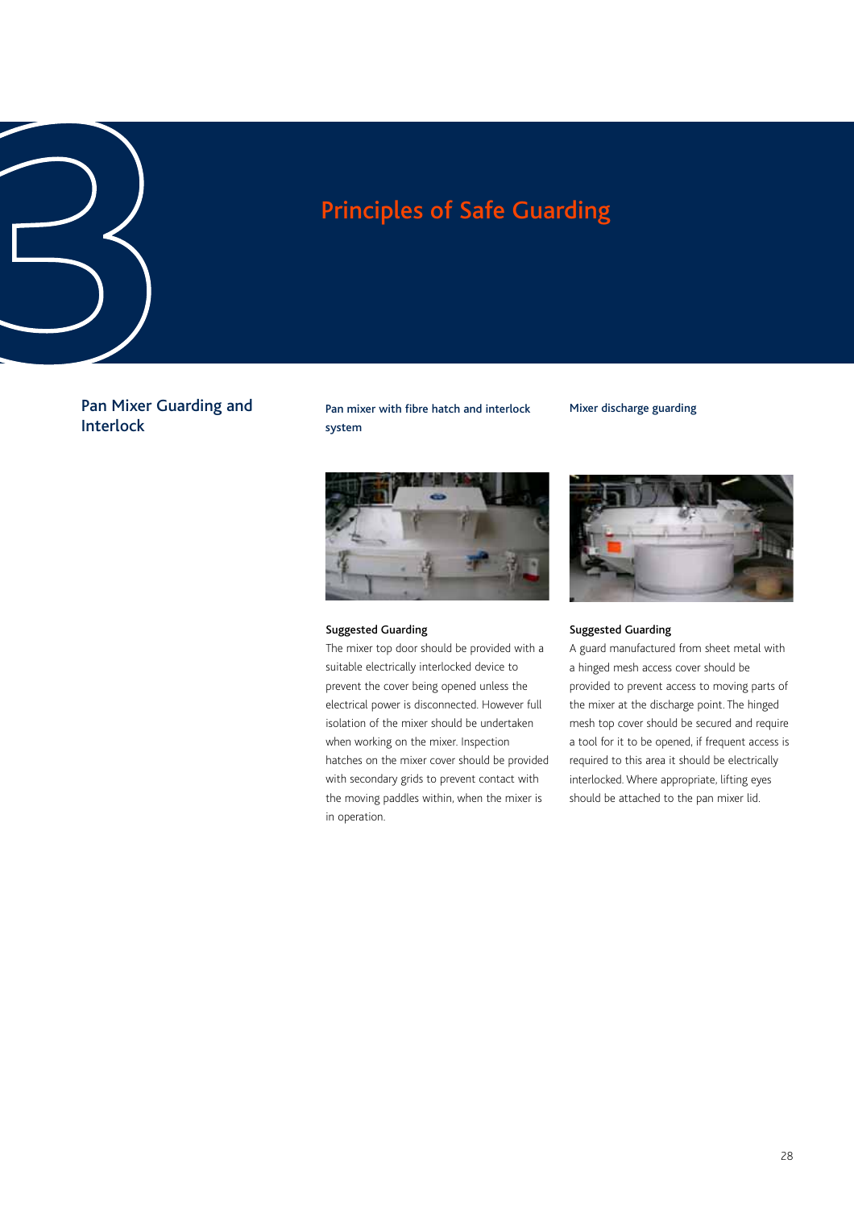Pan Mixer Guarding and Interlock

Pan mixer with fibre hatch and interlock system

### Mixer discharge guarding



### Suggested Guarding

The mixer top door should be provided with a suitable electrically interlocked device to prevent the cover being opened unless the electrical power is disconnected. However full isolation of the mixer should be undertaken when working on the mixer. Inspection hatches on the mixer cover should be provided with secondary grids to prevent contact with the moving paddles within, when the mixer is in operation.



### Suggested Guarding

A guard manufactured from sheet metal with a hinged mesh access cover should be provided to prevent access to moving parts of the mixer at the discharge point. The hinged mesh top cover should be secured and require a tool for it to be opened, if frequent access is required to this area it should be electrically interlocked. Where appropriate, lifting eyes should be attached to the pan mixer lid.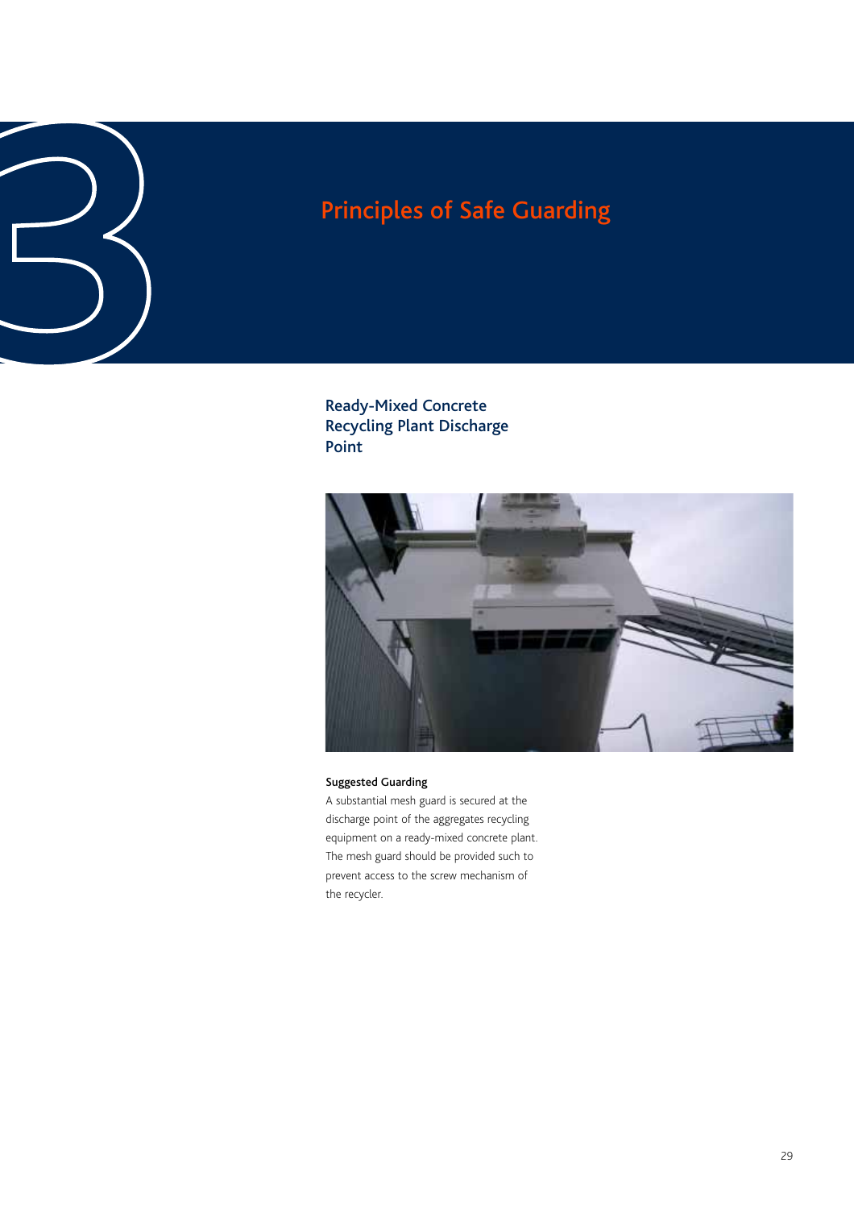Ready-Mixed Concrete Recycling Plant Discharge Point Principles of Safe Guarding<br>**3**<br>Ready-Mixed Concrete<br>Ready-Mixed Concrete<br>Point<br>Point



### Suggested Guarding

A substantial mesh guard is secured at the discharge point of the aggregates recycling equipment on a ready-mixed concrete plant. The mesh guard should be provided such to prevent access to the screw mechanism of the recycler.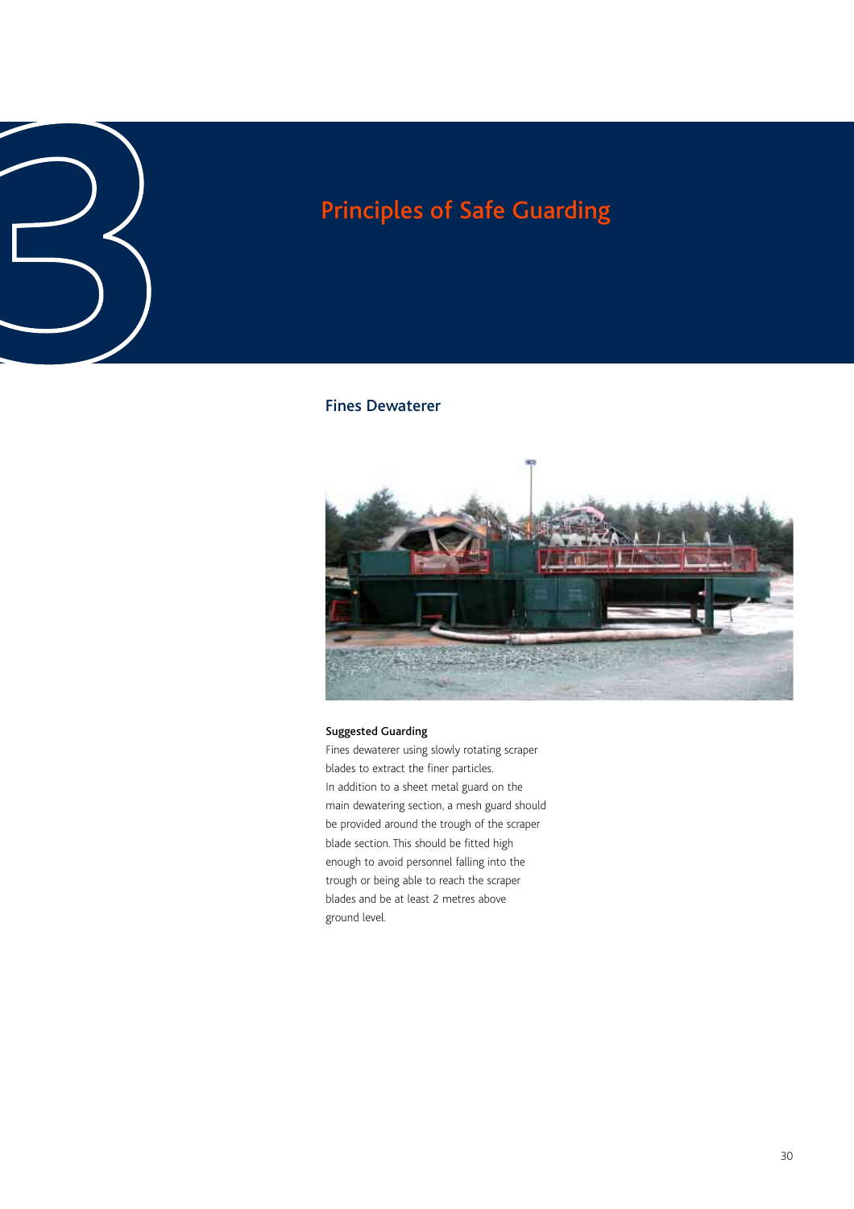### Fines Dewaterer



### Suggested Guarding

Fines dewaterer using slowly rotating scraper blades to extract the finer particles. In addition to a sheet metal guard on the main dewatering section, a mesh guard should be provided around the trough of the scraper blade section. This should be fitted high enough to avoid personnel falling into the trough or being able to reach the scraper blades and be at least 2 metres above ground level.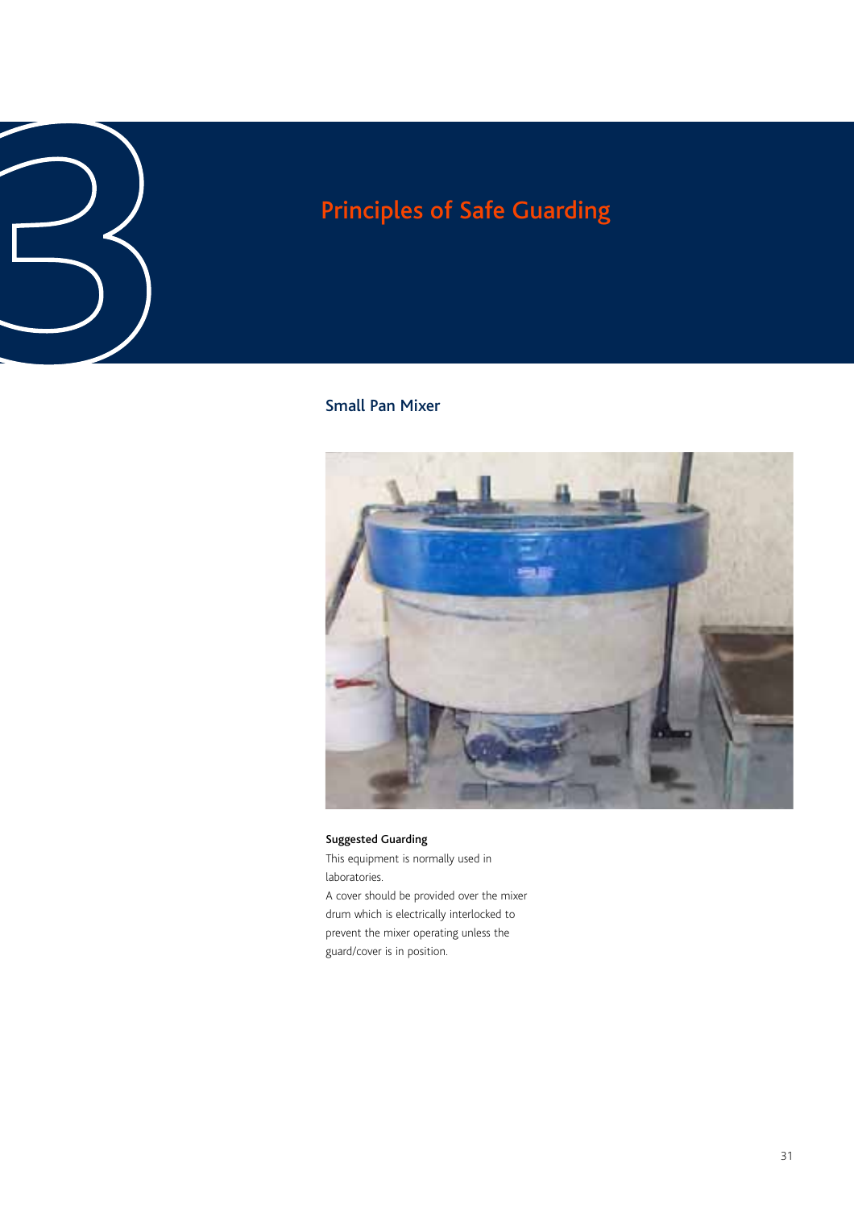# Principles of Safe Guarding<br>
3<sup>3</sup><br>
3<sup>3</sup><br>
3<sup>3</sup><br>
3<sup>3</sup><br>
<sup>33</sup><br>
<sup>33</sup><br>
<sup>33</sup><br>
<sup>33</sup><br>
<sup>33</sup><br>
<sup>33</sup><br>
<sup>33</sup><br>
<sup>33</sup><br>
<sup>33</sup><br>
<sup>33</sup><br>
<sup>34</sup><br>
<sup>34</sup><br>
<br><br><br><br><br><br><br><br><br><br><br><br><br><br><br><br><br><br><br><br><br>

### Small Pan Mixer



### Suggested Guarding

This equipment is normally used in laboratories. A cover should be provided over the mixer drum which is electrically interlocked to prevent the mixer operating unless the guard/cover is in position.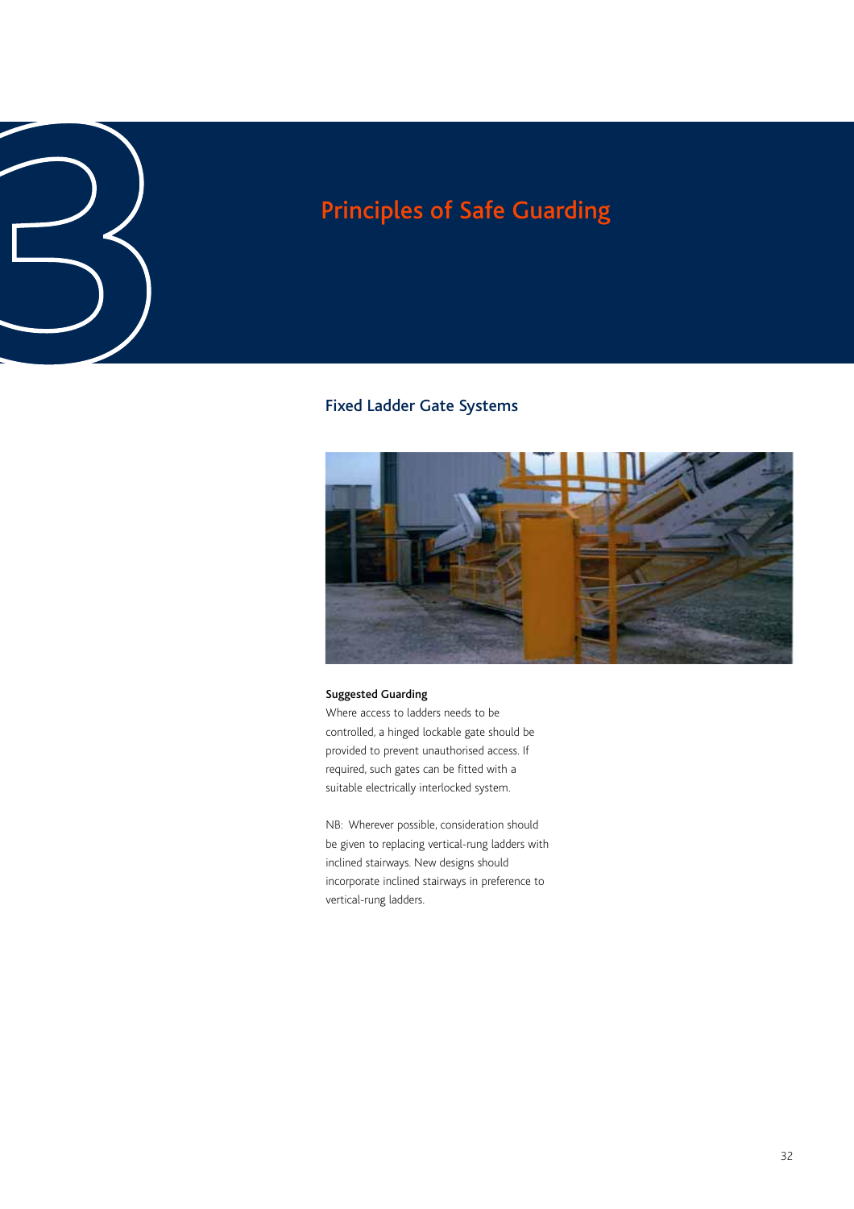# Principles of Safe Guarding<br>
<sup>3</sup><br>
3<br>
<sup>5</sup> Fixed Ladder Gate Systems

### Fixed Ladder Gate Systems



### Suggested Guarding

Where access to ladders needs to be controlled, a hinged lockable gate should be provided to prevent unauthorised access. If required, such gates can be fitted with a suitable electrically interlocked system.

NB: Wherever possible, consideration should be given to replacing vertical-rung ladders with inclined stairways. New designs should incorporate inclined stairways in preference to vertical-rung ladders.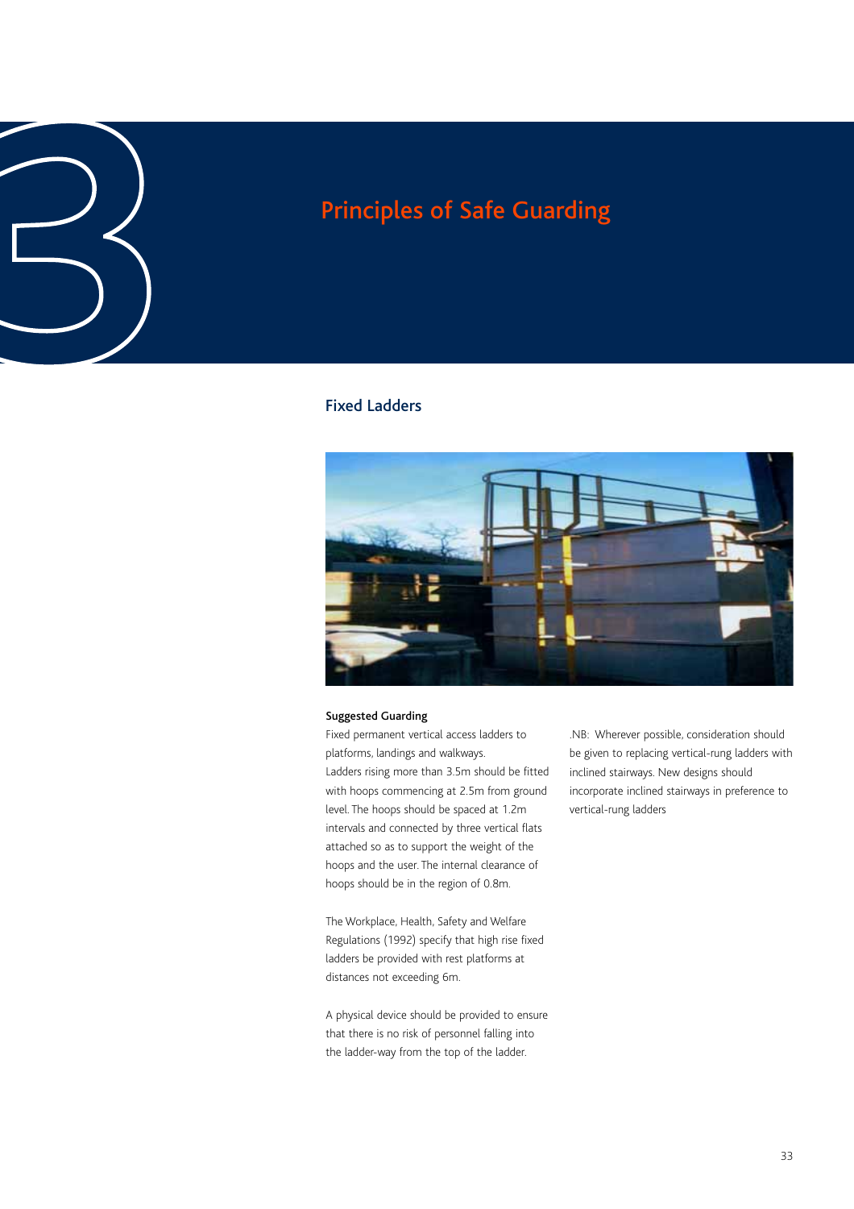# Principles of Safe Guarding<br>
3<br>
<sup>Principles</sup> of Safe Guarding<br>
<sup>5</sup><br>
Fixed Ladders

### Fixed Ladders



### Suggested Guarding

Fixed permanent vertical access ladders to platforms, landings and walkways. Ladders rising more than 3.5m should be fitted with hoops commencing at 2.5m from ground level. The hoops should be spaced at 1.2m intervals and connected by three vertical flats attached so as to support the weight of the hoops and the user. The internal clearance of hoops should be in the region of 0.8m.

The Workplace, Health, Safety and Welfare Regulations (1992) specify that high rise fixed ladders be provided with rest platforms at distances not exceeding 6m.

A physical device should be provided to ensure that there is no risk of personnel falling into the ladder-way from the top of the ladder.

.NB: Wherever possible, consideration should be given to replacing vertical-rung ladders with inclined stairways. New designs should incorporate inclined stairways in preference to vertical-rung ladders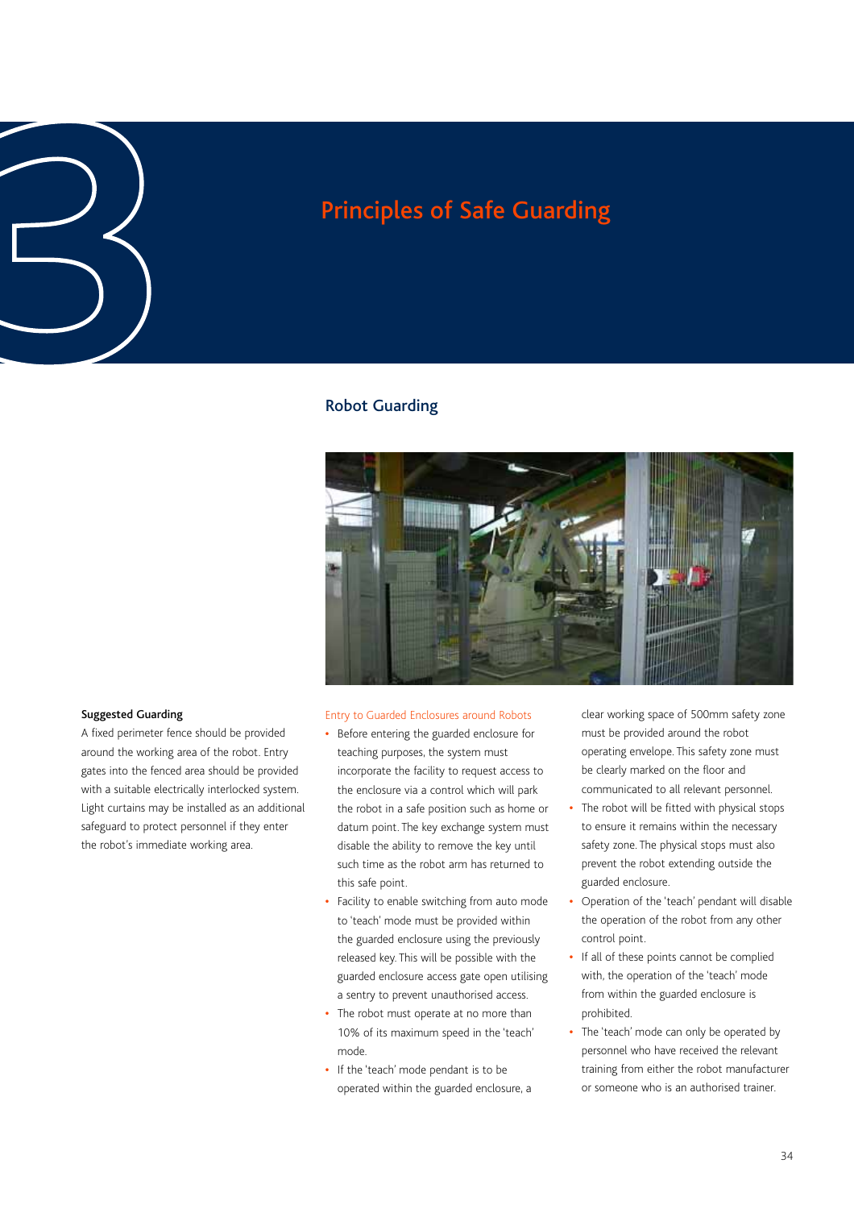# Principles of Safe Guarding<br>
3<br>
3<br>
3<br>
Robot Guarding<br>
3<br>
<sup>Robot Guarding</sup>

### Robot Guarding



### Suggested Guarding

A fixed perimeter fence should be provided around the working area of the robot. Entry gates into the fenced area should be provided with a suitable electrically interlocked system. Light curtains may be installed as an additional safeguard to protect personnel if they enter the robot's immediate working area.

### Entry to Guarded Enclosures around Robots

- **•** Before entering the guarded enclosure for teaching purposes, the system must incorporate the facility to request access to the enclosure via a control which will park the robot in a safe position such as home or datum point. The key exchange system must disable the ability to remove the key until such time as the robot arm has returned to this safe point.
- **•** Facility to enable switching from auto mode to 'teach' mode must be provided within the guarded enclosure using the previously released key. This will be possible with the guarded enclosure access gate open utilising a sentry to prevent unauthorised access.
- **•** The robot must operate at no more than 10% of its maximum speed in the 'teach' mode.
- **•** If the 'teach' mode pendant is to be operated within the guarded enclosure, a

clear working space of 500mm safety zone must be provided around the robot operating envelope. This safety zone must be clearly marked on the floor and communicated to all relevant personnel.

- **•** The robot will be fitted with physical stops to ensure it remains within the necessary safety zone. The physical stops must also prevent the robot extending outside the guarded enclosure.
- **•** Operation of the 'teach' pendant will disable the operation of the robot from any other control point.
- **•** If all of these points cannot be complied with, the operation of the 'teach' mode from within the guarded enclosure is prohibited.
- **•** The 'teach' mode can only be operated by personnel who have received the relevant training from either the robot manufacturer or someone who is an authorised trainer.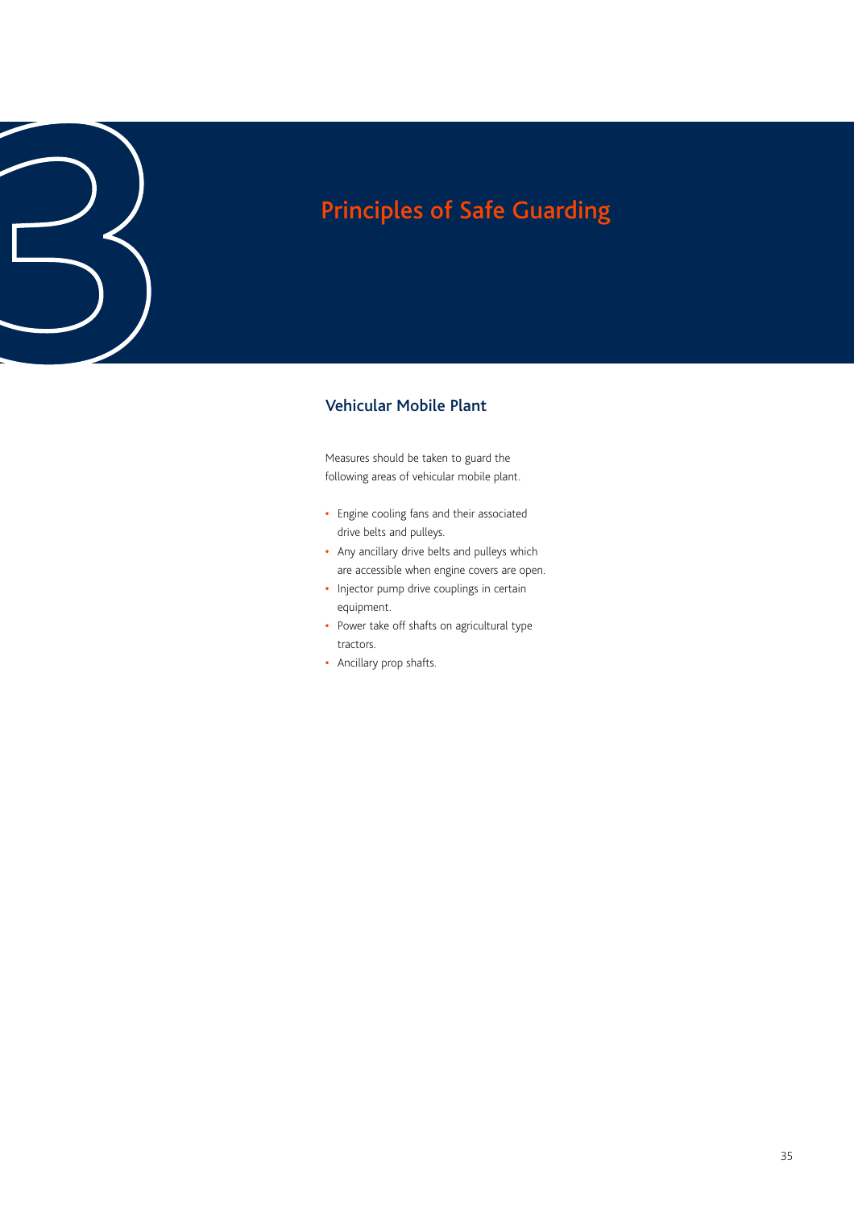# Principles of Safe Guarding<br>
3<br> **3**<br>
Vehicular Mobile Plant

### Vehicular Mobile Plant

Measures should be taken to guard the following areas of vehicular mobile plant.

- **•** Engine cooling fans and their associated drive belts and pulleys.
- **•** Any ancillary drive belts and pulleys which are accessible when engine covers are open.
- **•** Injector pump drive couplings in certain equipment.
- **•** Power take off shafts on agricultural type tractors.
- **•** Ancillary prop shafts.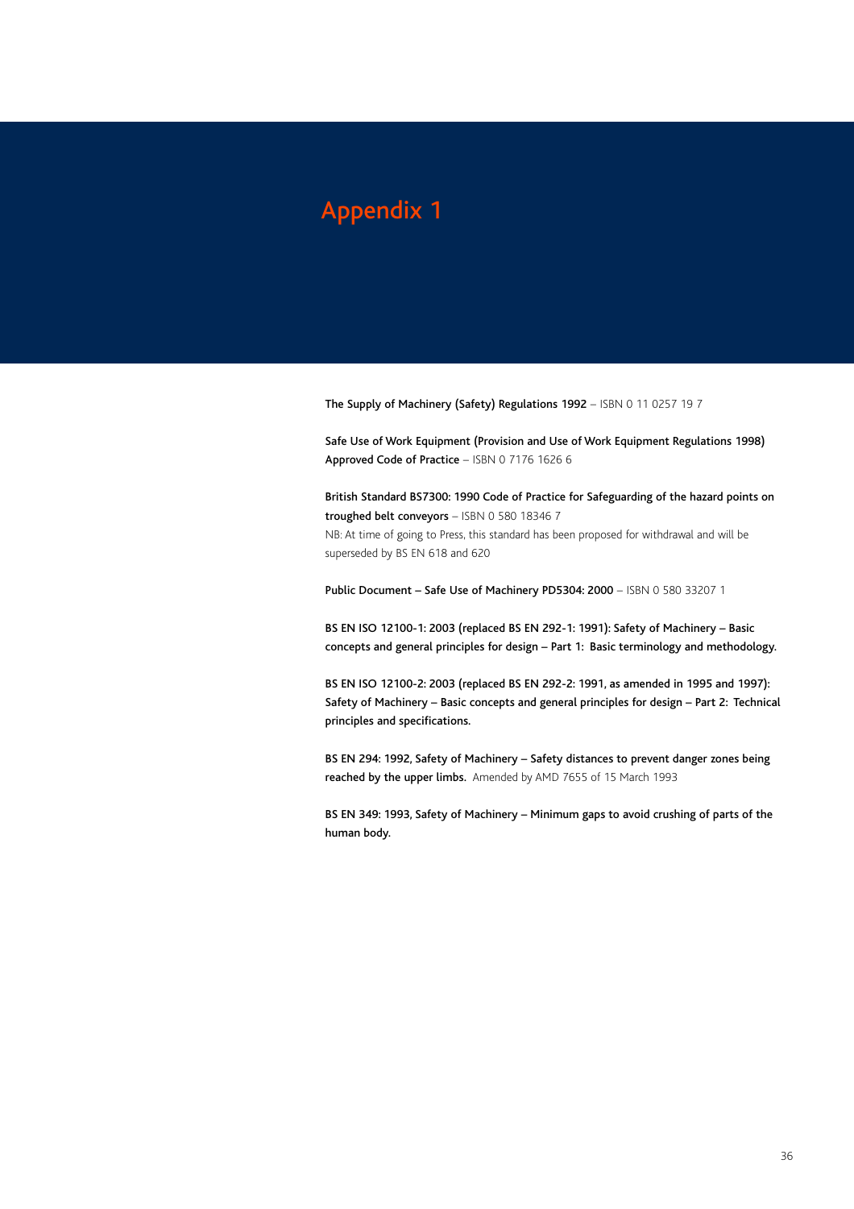### Appendix 1

The Supply of Machinery (Safety) Regulations 1992 - ISBN 0 11 0257 19 7

Safe Use of Work Equipment (Provision and Use of Work Equipment Regulations 1998) Approved Code of Practice – ISBN 0 7176 1626 6

British Standard BS7300: 1990 Code of Practice for Safeguarding of the hazard points on troughed belt conveyors - ISBN 0 580 18346 7

NB: At time of going to Press, this standard has been proposed for withdrawal and will be superseded by BS EN 618 and 620

Public Document – Safe Use of Machinery PD5304: 2000 – ISBN 0 580 33207 1

BS EN ISO 12100-1: 2003 (replaced BS EN 292-1: 1991): Safety of Machinery – Basic concepts and general principles for design – Part 1: Basic terminology and methodology.

BS EN ISO 12100-2: 2003 (replaced BS EN 292-2: 1991, as amended in 1995 and 1997): Safety of Machinery – Basic concepts and general principles for design – Part 2: Technical principles and specifications.

BS EN 294: 1992, Safety of Machinery – Safety distances to prevent danger zones being reached by the upper limbs. Amended by AMD 7655 of 15 March 1993

BS EN 349: 1993, Safety of Machinery – Minimum gaps to avoid crushing of parts of the human body.